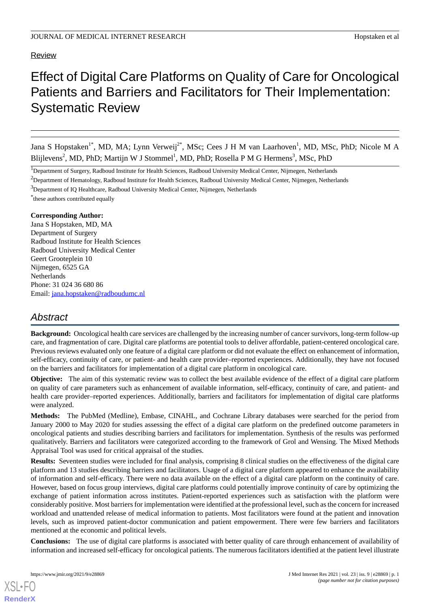# Review

# Effect of Digital Care Platforms on Quality of Care for Oncological Patients and Barriers and Facilitators for Their Implementation: Systematic Review

Jana S Hopstaken<sup>1\*</sup>, MD, MA; Lynn Verweij<sup>2\*</sup>, MSc; Cees J H M van Laarhoven<sup>1</sup>, MD, MSc, PhD; Nicole M A Blijlevens<sup>2</sup>, MD, PhD; Martijn W J Stommel<sup>1</sup>, MD, PhD; Rosella P M G Hermens<sup>3</sup>, MSc, PhD

<sup>1</sup>Department of Surgery, Radboud Institute for Health Sciences, Radboud University Medical Center, Nijmegen, Netherlands

<sup>3</sup>Department of IQ Healthcare, Radboud University Medical Center, Nijmegen, Netherlands

\* these authors contributed equally

# **Corresponding Author:**

Jana S Hopstaken, MD, MA Department of Surgery Radboud Institute for Health Sciences Radboud University Medical Center Geert Grooteplein 10 Nijmegen, 6525 GA **Netherlands** Phone: 31 024 36 680 86 Email: [jana.hopstaken@radboudumc.nl](mailto:jana.hopstaken@radboudumc.nl)

# *Abstract*

**Background:** Oncological health care services are challenged by the increasing number of cancer survivors, long-term follow-up care, and fragmentation of care. Digital care platforms are potential tools to deliver affordable, patient-centered oncological care. Previous reviews evaluated only one feature of a digital care platform or did not evaluate the effect on enhancement of information, self-efficacy, continuity of care, or patient- and health care provider–reported experiences. Additionally, they have not focused on the barriers and facilitators for implementation of a digital care platform in oncological care.

**Objective:** The aim of this systematic review was to collect the best available evidence of the effect of a digital care platform on quality of care parameters such as enhancement of available information, self-efficacy, continuity of care, and patient- and health care provider–reported experiences. Additionally, barriers and facilitators for implementation of digital care platforms were analyzed.

**Methods:** The PubMed (Medline), Embase, CINAHL, and Cochrane Library databases were searched for the period from January 2000 to May 2020 for studies assessing the effect of a digital care platform on the predefined outcome parameters in oncological patients and studies describing barriers and facilitators for implementation. Synthesis of the results was performed qualitatively. Barriers and facilitators were categorized according to the framework of Grol and Wensing. The Mixed Methods Appraisal Tool was used for critical appraisal of the studies.

**Results:** Seventeen studies were included for final analysis, comprising 8 clinical studies on the effectiveness of the digital care platform and 13 studies describing barriers and facilitators. Usage of a digital care platform appeared to enhance the availability of information and self-efficacy. There were no data available on the effect of a digital care platform on the continuity of care. However, based on focus group interviews, digital care platforms could potentially improve continuity of care by optimizing the exchange of patient information across institutes. Patient-reported experiences such as satisfaction with the platform were considerably positive. Most barriers for implementation were identified at the professional level, such as the concern for increased workload and unattended release of medical information to patients. Most facilitators were found at the patient and innovation levels, such as improved patient-doctor communication and patient empowerment. There were few barriers and facilitators mentioned at the economic and political levels.

**Conclusions:** The use of digital care platforms is associated with better quality of care through enhancement of availability of information and increased self-efficacy for oncological patients. The numerous facilitators identified at the patient level illustrate

 $<sup>2</sup>D$ epartment of Hematology, Radboud Institute for Health Sciences, Radboud University Medical Center, Nijmegen, Netherlands</sup>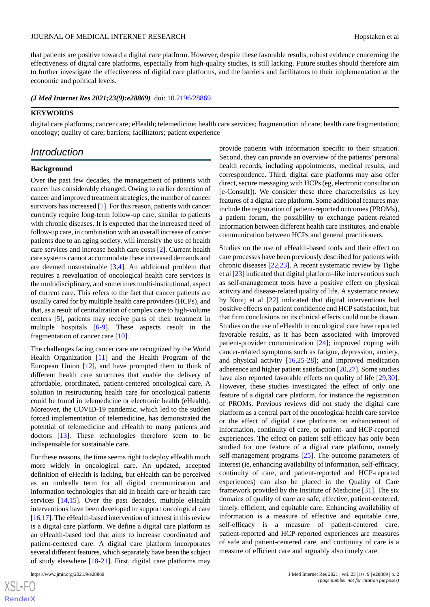that patients are positive toward a digital care platform. However, despite these favorable results, robust evidence concerning the effectiveness of digital care platforms, especially from high-quality studies, is still lacking. Future studies should therefore aim to further investigate the effectiveness of digital care platforms, and the barriers and facilitators to their implementation at the economic and political levels.

*(J Med Internet Res 2021;23(9):e28869)* doi:  $10.2196/28869$ 

# **KEYWORDS**

digital care platforms; cancer care; eHealth; telemedicine; health care services; fragmentation of care; health care fragmentation; oncology; quality of care; barriers; facilitators; patient experience

# *Introduction*

# **Background**

Over the past few decades, the management of patients with cancer has considerably changed. Owing to earlier detection of cancer and improved treatment strategies, the number of cancer survivors has increased [[1\]](#page-13-0). For this reason, patients with cancer currently require long-term follow-up care, similar to patients with chronic diseases. It is expected that the increased need of follow-up care, in combination with an overall increase of cancer patients due to an aging society, will intensify the use of health care services and increase health care costs [[2\]](#page-13-1). Current health care systems cannot accommodate these increased demands and are deemed unsustainable [\[3](#page-13-2),[4\]](#page-13-3). An additional problem that requires a reevaluation of oncological health care services is the multidisciplinary, and sometimes multi-institutional, aspect of current care. This refers to the fact that cancer patients are usually cared for by multiple health care providers (HCPs), and that, as a result of centralization of complex care to high-volume centers [\[5](#page-13-4)], patients may receive parts of their treatment in multiple hospitals [[6-](#page-13-5)[9](#page-13-6)]. These aspects result in the fragmentation of cancer care [\[10](#page-13-7)].

The challenges facing cancer care are recognized by the World Health Organization [[11\]](#page-13-8) and the Health Program of the European Union [[12\]](#page-13-9), and have prompted them to think of different health care structures that enable the delivery of affordable, coordinated, patient-centered oncological care. A solution in restructuring health care for oncological patients could be found in telemedicine or electronic health (eHealth). Moreover, the COVID-19 pandemic, which led to the sudden forced implementation of telemedicine, has demonstrated the potential of telemedicine and eHealth to many patients and doctors [[13\]](#page-14-0). These technologies therefore seem to be indispensable for sustainable care.

For these reasons, the time seems right to deploy eHealth much more widely in oncological care. An updated, accepted definition of eHealth is lacking, but eHealth can be perceived as an umbrella term for all digital communication and information technologies that aid in health care or health care services [[14,](#page-14-1)[15](#page-14-2)]. Over the past decades, multiple eHealth interventions have been developed to support oncological care [[16,](#page-14-3)[17\]](#page-14-4). The eHealth-based intervention of interest in this review is a digital care platform. We define a digital care platform as an eHealth-based tool that aims to increase coordinated and patient-centered care. A digital care platform incorporates several different features, which separately have been the subject of study elsewhere [\[18](#page-14-5)-[21\]](#page-14-6). First, digital care platforms may

provide patients with information specific to their situation. Second, they can provide an overview of the patients' personal health records, including appointments, medical results, and correspondence. Third, digital care platforms may also offer direct, secure messaging with HCPs (eg, electronic consultation [e-Consult]). We consider these three characteristics as key features of a digital care platform. Some additional features may include the registration of patient-reported outcomes (PROMs), a patient forum, the possibility to exchange patient-related information between different health care institutes, and enable communication between HCPs and general practitioners.

Studies on the use of eHealth-based tools and their effect on care processes have been previously described for patients with chronic diseases [\[22](#page-14-7),[23\]](#page-14-8). A recent systematic review by Tighe et al [\[23](#page-14-8)] indicated that digital platform–like interventions such as self-management tools have a positive effect on physical activity and disease-related quality of life. A systematic review by Kooij et al [\[22](#page-14-7)] indicated that digital interventions had positive effects on patient confidence and HCP satisfaction, but that firm conclusions on its clinical effects could not be drawn. Studies on the use of eHealth in oncological care have reported favorable results, as it has been associated with improved patient-provider communication [[24\]](#page-14-9); improved coping with cancer-related symptoms such as fatigue, depression, anxiety, and physical activity [\[16](#page-14-3),[25-](#page-14-10)[28](#page-14-11)]; and improved medication adherence and higher patient satisfaction [[20](#page-14-12)[,27](#page-14-13)]. Some studies have also reported favorable effects on quality of life [\[29](#page-14-14),[30\]](#page-14-15). However, these studies investigated the effect of only one feature of a digital care platform, for instance the registration of PROMs. Previous reviews did not study the digital care platform as a central part of the oncological health care service or the effect of digital care platforms on enhancement of information, continuity of care, or patient- and HCP-reported experiences. The effect on patient self-efficacy has only been studied for one feature of a digital care platform, namely self-management programs [[25\]](#page-14-10). The outcome parameters of interest (ie, enhancing availability of information, self-efficacy, continuity of care, and patient-reported and HCP-reported experiences) can also be placed in the Quality of Care framework provided by the Institute of Medicine [[31\]](#page-14-16). The six domains of quality of care are safe, effective, patient-centered, timely, efficient, and equitable care. Enhancing availability of information is a measure of effective and equitable care, self-efficacy is a measure of patient-centered care, patient-reported and HCP-reported experiences are measures of safe and patient-centered care, and continuity of care is a measure of efficient care and arguably also timely care.

```
XSL•FO
RenderX
```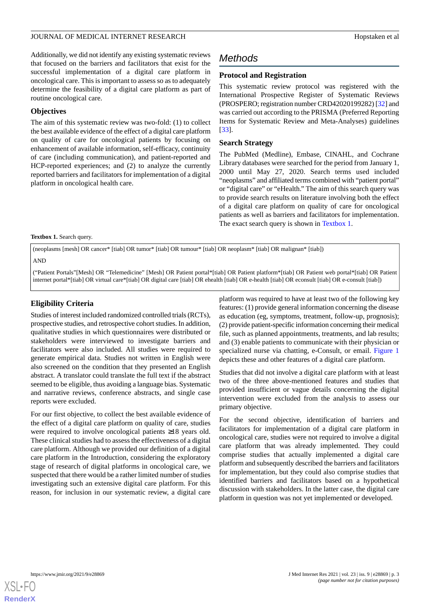Additionally, we did not identify any existing systematic reviews that focused on the barriers and facilitators that exist for the successful implementation of a digital care platform in oncological care. This is important to assess so as to adequately determine the feasibility of a digital care platform as part of routine oncological care.

# **Objectives**

The aim of this systematic review was two-fold: (1) to collect the best available evidence of the effect of a digital care platform on quality of care for oncological patients by focusing on enhancement of available information, self-efficacy, continuity of care (including communication), and patient-reported and HCP-reported experiences; and (2) to analyze the currently reported barriers and facilitators for implementation of a digital platform in oncological health care.

# *Methods*

# **Protocol and Registration**

This systematic review protocol was registered with the International Prospective Register of Systematic Reviews (PROSPERO; registration number CRD42020199282) [\[32](#page-14-17)] and was carried out according to the PRISMA (Preferred Reporting Items for Systematic Review and Meta-Analyses) guidelines [[33\]](#page-14-18).

# **Search Strategy**

The PubMed (Medline), Embase, CINAHL, and Cochrane Library databases were searched for the period from January 1, 2000 until May 27, 2020. Search terms used included "neoplasms" and affiliated terms combined with "patient portal" or "digital care" or "eHealth." The aim of this search query was to provide search results on literature involving both the effect of a digital care platform on quality of care for oncological patients as well as barriers and facilitators for implementation. The exact search query is shown in [Textbox 1](#page-2-0).

#### <span id="page-2-0"></span>Textbox 1. Search query.

(neoplasms [mesh] OR cancer\* [tiab] OR tumor\* [tiab] OR tumour\* [tiab] OR neoplasm\* [tiab] OR malignan\* [tiab])

AND

("Patient Portals"[Mesh] OR "Telemedicine" [Mesh] OR Patient portal\*[tiab] OR Patient platform\*[tiab] OR Patient web portal\*[tiab] OR Patient internet portal\*[tiab] OR virtual care\*[tiab] OR digital care [tiab] OR ehealth [tiab] OR e-health [tiab] OR econsult [tiab] OR e-consult [tiab])

# **Eligibility Criteria**

Studies of interest included randomized controlled trials (RCTs), prospective studies, and retrospective cohort studies. In addition, qualitative studies in which questionnaires were distributed or stakeholders were interviewed to investigate barriers and facilitators were also included. All studies were required to generate empirical data. Studies not written in English were also screened on the condition that they presented an English abstract. A translator could translate the full text if the abstract seemed to be eligible, thus avoiding a language bias. Systematic and narrative reviews, conference abstracts, and single case reports were excluded.

For our first objective, to collect the best available evidence of the effect of a digital care platform on quality of care, studies were required to involve oncological patients ≥18 years old. These clinical studies had to assess the effectiveness of a digital care platform. Although we provided our definition of a digital care platform in the Introduction, considering the exploratory stage of research of digital platforms in oncological care, we suspected that there would be a rather limited number of studies investigating such an extensive digital care platform. For this reason, for inclusion in our systematic review, a digital care

platform was required to have at least two of the following key features: (1) provide general information concerning the disease as education (eg, symptoms, treatment, follow-up, prognosis); (2) provide patient-specific information concerning their medical file, such as planned appointments, treatments, and lab results; and (3) enable patients to communicate with their physician or specialized nurse via chatting, e-Consult, or email. [Figure 1](#page-3-0) depicts these and other features of a digital care platform.

Studies that did not involve a digital care platform with at least two of the three above-mentioned features and studies that provided insufficient or vague details concerning the digital intervention were excluded from the analysis to assess our primary objective.

For the second objective, identification of barriers and facilitators for implementation of a digital care platform in oncological care, studies were not required to involve a digital care platform that was already implemented. They could comprise studies that actually implemented a digital care platform and subsequently described the barriers and facilitators for implementation, but they could also comprise studies that identified barriers and facilitators based on a hypothetical discussion with stakeholders. In the latter case, the digital care platform in question was not yet implemented or developed.

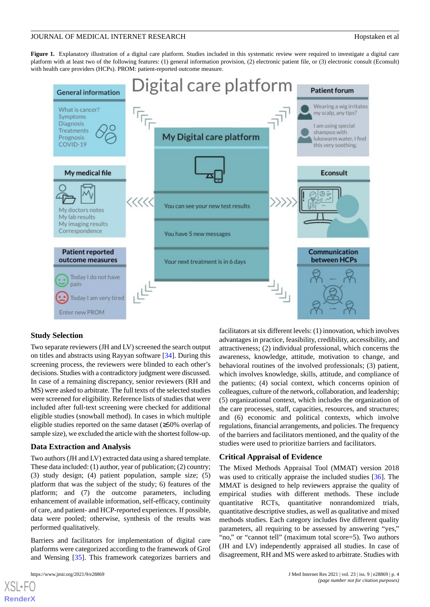<span id="page-3-0"></span>**Figure 1.** Explanatory illustration of a digital care platform. Studies included in this systematic review were required to investigate a digital care platform with at least two of the following features: (1) general information provision, (2) electronic patient file, or (3) electronic consult (Econsult) with health care providers (HCPs). PROM: patient-reported outcome measure.



# **Study Selection**

Two separate reviewers (JH and LV) screened the search output on titles and abstracts using Rayyan software [\[34](#page-14-19)]. During this screening process, the reviewers were blinded to each other's decisions. Studies with a contradictory judgment were discussed. In case of a remaining discrepancy, senior reviewers (RH and MS) were asked to arbitrate. The full texts of the selected studies were screened for eligibility. Reference lists of studies that were included after full-text screening were checked for additional eligible studies (snowball method). In cases in which multiple eligible studies reported on the same dataset (≥50% overlap of sample size), we excluded the article with the shortest follow-up.

# **Data Extraction and Analysis**

Two authors (JH and LV) extracted data using a shared template. These data included: (1) author, year of publication; (2) country; (3) study design; (4) patient population, sample size; (5) platform that was the subject of the study; 6) features of the platform; and (7) the outcome parameters, including enhancement of available information, self-efficacy, continuity of care, and patient- and HCP-reported experiences. If possible, data were pooled; otherwise, synthesis of the results was performed qualitatively.

Barriers and facilitators for implementation of digital care platforms were categorized according to the framework of Grol and Wensing [[35\]](#page-14-20). This framework categorizes barriers and

[XSL](http://www.w3.org/Style/XSL)•FO **[RenderX](http://www.renderx.com/)**

facilitators at six different levels: (1) innovation, which involves advantages in practice, feasibility, credibility, accessibility, and attractiveness; (2) individual professional, which concerns the awareness, knowledge, attitude, motivation to change, and behavioral routines of the involved professionals; (3) patient, which involves knowledge, skills, attitude, and compliance of the patients; (4) social context, which concerns opinion of colleagues, culture of the network, collaboration, and leadership; (5) organizational context, which includes the organization of the care processes, staff, capacities, resources, and structures; and (6) economic and political contexts, which involve regulations, financial arrangements, and policies. The frequency of the barriers and facilitators mentioned, and the quality of the studies were used to prioritize barriers and facilitators.

# **Critical Appraisal of Evidence**

The Mixed Methods Appraisal Tool (MMAT) version 2018 was used to critically appraise the included studies [\[36](#page-15-0)]. The MMAT is designed to help reviewers appraise the quality of empirical studies with different methods. These include quantitative RCTs, quantitative nonrandomized trials, quantitative descriptive studies, as well as qualitative and mixed methods studies. Each category includes five different quality parameters, all requiring to be assessed by answering "yes," "no," or "cannot tell" (maximum total score=5). Two authors (JH and LV) independently appraised all studies. In case of disagreement, RH and MS were asked to arbitrate. Studies with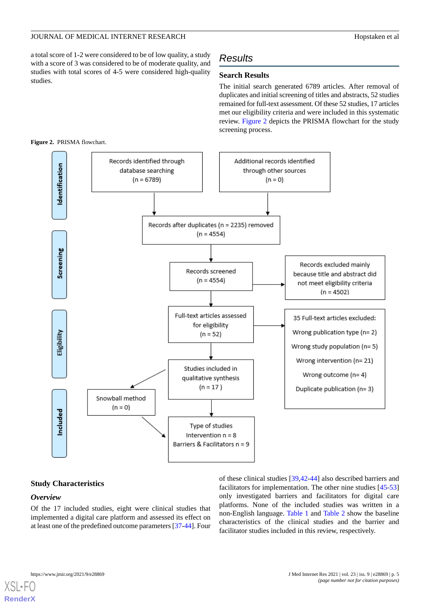a total score of 1-2 were considered to be of low quality, a study with a score of 3 was considered to be of moderate quality, and studies with total scores of 4-5 were considered high-quality studies.

# *Results*

# **Search Results**

The initial search generated 6789 articles. After removal of duplicates and initial screening of titles and abstracts, 52 studies remained for full-text assessment. Of these 52 studies, 17 articles met our eligibility criteria and were included in this systematic review. [Figure 2](#page-4-0) depicts the PRISMA flowchart for the study screening process.

<span id="page-4-0"></span>

# **Study Characteristics**

#### *Overview*

Of the 17 included studies, eight were clinical studies that implemented a digital care platform and assessed its effect on at least one of the predefined outcome parameters [[37](#page-15-1)[-44](#page-15-2)]. Four of these clinical studies [[39,](#page-15-3)[42](#page-15-4)-[44\]](#page-15-2) also described barriers and facilitators for implementation. The other nine studies [\[45](#page-15-5)[-53](#page-15-6)] only investigated barriers and facilitators for digital care platforms. None of the included studies was written in a non-English language. [Table 1](#page-5-0) and [Table 2](#page-6-0) show the baseline characteristics of the clinical studies and the barrier and facilitator studies included in this review, respectively.

```
XSL•FO
RenderX
```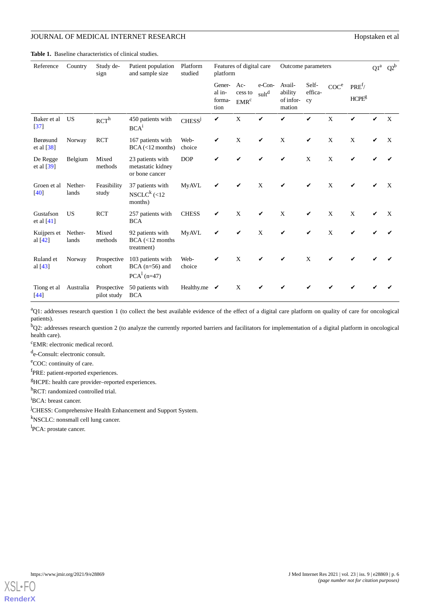JOURNAL OF MEDICAL INTERNET RESEARCH Hopstaken et al

<span id="page-5-0"></span>**Table 1.** Baseline characteristics of clinical studies.

| Reference                        | Country          | Study de-<br>sign          | Patient population<br>and sample size                   | Platform<br>studied       | Features of digital care<br>platform |                                      |                             | Outcome parameters                       | $Q1^a$ $Q2^b$          |                  |                                |   |
|----------------------------------|------------------|----------------------------|---------------------------------------------------------|---------------------------|--------------------------------------|--------------------------------------|-----------------------------|------------------------------------------|------------------------|------------------|--------------------------------|---|
|                                  |                  |                            |                                                         |                           | Gener-<br>al in-<br>forma-<br>tion   | $Ac-$<br>cess to<br>EMR <sup>c</sup> | e-Con-<br>sult <sup>d</sup> | Avail-<br>ability<br>of infor-<br>mation | Self-<br>effica-<br>cy | COC <sup>e</sup> | $PRE^{f}$<br>HCPE <sup>g</sup> |   |
| Baker et al<br>$\left[37\right]$ | US               | RCT <sup>h</sup>           | 450 patients with<br>$BCA^i$                            | <b>CHESS</b> <sup>J</sup> | V                                    | $\mathbf X$                          | V                           | ✓                                        | V                      | X                | ✓                              | X |
| Børøsund<br>et al [38]           | Norway           | <b>RCT</b>                 | 167 patients with<br>BCA (<12 months)                   | Web-<br>choice            | V                                    | $\mathbf X$                          | V                           | $\mathbf X$                              | V                      | $\mathbf X$      | $\mathbf X$                    | X |
| De Regge<br>et al $[39]$         | Belgium          | Mixed<br>methods           | 23 patients with<br>metastatic kidney<br>or bone cancer | <b>DOP</b>                |                                      | V                                    | ✓                           | $\boldsymbol{\nu}$                       | $\mathbf X$            | X                | V                              |   |
| Groen et al<br>$[40]$            | Nether-<br>lands | Feasibility<br>study       | 37 patients with<br>$NSCLCk$ (<12<br>months)            | <b>MyAVL</b>              | ✔                                    |                                      | X                           | ✓                                        | ✓                      | X                | ✔                              | X |
| Gustafson<br>et al $[41]$        | <b>US</b>        | <b>RCT</b>                 | 257 patients with<br><b>BCA</b>                         | <b>CHESS</b>              | V                                    | $\mathbf X$                          | V                           | $\mathbf X$                              | V                      | $\mathbf X$      | $\mathbf X$                    | X |
| Kuijpers et<br>al [42]           | Nether-<br>lands | Mixed<br>methods           | 92 patients with<br>$BCA (<12$ months<br>treatment)     | <b>MyAVL</b>              | ✓                                    | V                                    | $\mathbf X$                 | ✓                                        | V                      | X                | V                              |   |
| Ruland et<br>al $[43]$           | Norway           | Prospective<br>cohort      | 103 patients with<br>$BCA$ (n=56) and<br>$PCA1$ (n=47)  | Web-<br>choice            | V                                    | X                                    | ✓                           | ✓                                        | X                      |                  |                                |   |
| Tiong et al<br>$[44]$            | Australia        | Prospective<br>pilot study | 50 patients with<br><b>BCA</b>                          | Healthy.me                | V                                    | X                                    |                             |                                          |                        |                  |                                |   |

<sup>a</sup>Q1: addresses research question 1 (to collect the best available evidence of the effect of a digital care platform on quality of care for oncological patients).

 $b$ Q2: addresses research question 2 (to analyze the currently reported barriers and facilitators for implementation of a digital platform in oncological health care).

<sup>c</sup>EMR: electronic medical record.

d e-Consult: electronic consult.

<sup>e</sup>COC: continuity of care.

<sup>f</sup>PRE: patient-reported experiences.

<sup>g</sup>HCPE: health care provider–reported experiences.

h<sub>RCT:</sub> randomized controlled trial.

<sup>i</sup>BCA: breast cancer.

<sup>j</sup>CHESS: Comprehensive Health Enhancement and Support System.

<sup>k</sup>NSCLC: nonsmall cell lung cancer.

<sup>1</sup>PCA: prostate cancer.

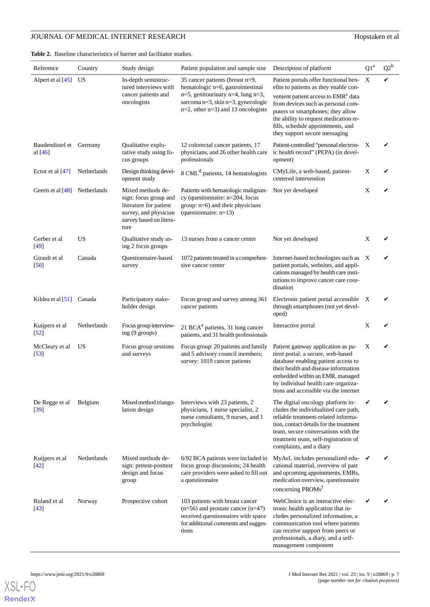# **JOURNAL OF MEDICAL INTERNET RESEARCH HOPSTAND HOPSTAND HOPSTAND HOPSTAND**

<span id="page-6-0"></span>**Table 2.** Baseline characteristics of barrier and facilitator studies.

| Reference                            | Country     | Study design                                                                                                                     | Patient population and sample size                                                                                                                             | Description of platform                                                                                                                                                                                                                                                   | $\mathrm{Q1}^{\mathrm{a}}$ | $\mathrm{Q2}^{\mathrm{b}}$ |
|--------------------------------------|-------------|----------------------------------------------------------------------------------------------------------------------------------|----------------------------------------------------------------------------------------------------------------------------------------------------------------|---------------------------------------------------------------------------------------------------------------------------------------------------------------------------------------------------------------------------------------------------------------------------|----------------------------|----------------------------|
| Alpert et al [45]                    | US          | In-depth semistruc-<br>tured interviews with                                                                                     | 35 cancer patients (breast n=9,<br>hematologic n=6, gastrointestinal                                                                                           | Patient portals offer functional ben-<br>efits to patients as they enable con-                                                                                                                                                                                            | X                          | ✓                          |
|                                      |             | cancer patients and<br>oncologists                                                                                               | $n=5$ , genitourinary $n=4$ , lung $n=3$ ,<br>sarcoma n=3, skin n=3, gynecologic<br>$n=2$ , other $n=3$ ) and 13 oncologists                                   | venient patient access to EMR <sup>c</sup> data<br>from devices such as personal com-<br>puters or smartphones; they allow<br>the ability to request medication re-<br>fills, schedule appointments, and<br>they support secure messaging                                 |                            |                            |
| Baudendistel et Germany<br>al $[46]$ |             | Qualitative explo-<br>rative study using fo-<br>cus groups                                                                       | 12 colorectal cancer patients, 17<br>physicians, and 26 other health care<br>professionals                                                                     | Patient-controlled "personal electron-X"<br>ic health record" (PEPA) (in devel-<br>opment)                                                                                                                                                                                |                            |                            |
| Ector et al [47]                     | Netherlands | Design thinking devel-<br>opment study                                                                                           | 8 CML <sup>d</sup> patients, 14 hematologists                                                                                                                  | CMyLife, a web-based, patient-<br>centered intervention                                                                                                                                                                                                                   | X                          |                            |
| Geerts et al [48]                    | Netherlands | Mixed methods de-<br>sign: focus group and<br>literature for patient<br>survey, and physician<br>survey based on litera-<br>ture | Patients with hematologic malignan-<br>cy (questionnaire: $n=204$ , focus<br>group: $n=6$ ) and their physicians<br>(questionnaire: $n=13$ )                   | Not yet developed                                                                                                                                                                                                                                                         | X                          |                            |
| Gerber et al<br>$[49]$               | US          | Qualitative study us-<br>ing 2 focus groups                                                                                      | 13 nurses from a cancer center                                                                                                                                 | Not yet developed                                                                                                                                                                                                                                                         | X                          |                            |
| Girault et al<br>[50]                | Canada      | Questionnaire-based<br>survey                                                                                                    | 1072 patients treated in a comprehen-<br>sive cancer center                                                                                                    | Internet-based technologies such as X<br>patient portals, websites, and appli-<br>cations managed by health care insti-<br>tutions to improve cancer care coor-<br>dination                                                                                               |                            |                            |
| Kildea et al $[51]$                  | Canada      | Participatory stake-<br>holder design                                                                                            | Focus group and survey among 361<br>cancer patients                                                                                                            | Electronic patient portal accessible X<br>through smartphones (not yet devel-<br>oped)                                                                                                                                                                                    |                            |                            |
| Kuijpers et al<br>$[52]$             | Netherlands | Focus group interview-<br>ing (9 groups)                                                                                         | 21 BCA <sup>e</sup> patients, 31 lung cancer<br>patients, and 31 health professionals                                                                          | Interactive portal                                                                                                                                                                                                                                                        | X                          |                            |
| McCleary et al<br>$[53]$             | US          | Focus group sessions<br>and surveys                                                                                              | Focus group: 20 patients and family<br>and 5 advisory council members;<br>survey: 1019 cancer patients                                                         | Patient gateway application as pa-<br>tient portal: a secure, web-based<br>database enabling patient access to<br>their health and disease information<br>embedded within an EMR, managed<br>by individual health care organiza-<br>tions and accessible via the internet | X                          |                            |
| De Regge et al<br>[39]               | Belgium     | Mixed method triangu-<br>lation design                                                                                           | Interviews with 23 patients, 2<br>physicians, 1 nurse specialist, 2<br>nurse consultants, 9 nurses, and 1<br>psychologist                                      | The digital oncology platform in-<br>cludes the individualized care path,<br>reliable treatment-related informa-<br>tion, contact details for the treatment<br>team, secure conversations with the<br>treatment team, self-registration of<br>complaints, and a diary     |                            |                            |
| Kuijpers et al<br>$[42]$             | Netherlands | Mixed methods de-<br>sign: pretest-posttest<br>design and focus<br>group                                                         | 6/92 BCA patients were included in<br>focus group discussions; 24 health<br>care providers were asked to fill out<br>a questionnaire                           | MyAvL includes personalized edu- $\mathbf{\check{v}}$<br>cational material, overview of past<br>and upcoming appointments, EMRs,<br>medication overview, questionnaire<br>concerning PROMs <sup>f</sup>                                                                   |                            |                            |
| Ruland et al<br>$[43]$               | Norway      | Prospective cohort                                                                                                               | 103 patients with breast cancer<br>$(n=56)$ and prostate cancer $(n=47)$<br>received questionnaires with space<br>for additional comments and sugges-<br>tions | WebChoice is an interactive elec-<br>tronic health application that in-<br>cludes personalized information, a<br>communication tool where patients<br>can receive support from peers or<br>professionals, a diary, and a self-<br>management component                    |                            |                            |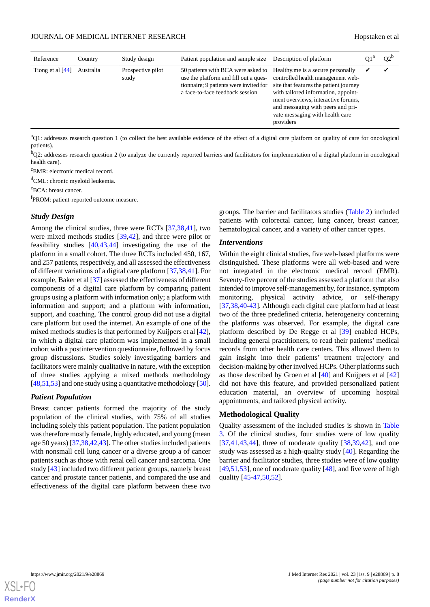| Reference          | Country   | Study design               | Patient population and sample size                                                                                                                       | Description of platform                                                                                                                                                                                                                                                              | $Q2^b$ |
|--------------------|-----------|----------------------------|----------------------------------------------------------------------------------------------------------------------------------------------------------|--------------------------------------------------------------------------------------------------------------------------------------------------------------------------------------------------------------------------------------------------------------------------------------|--------|
| Tiong et al $[44]$ | Australia | Prospective pilot<br>study | 50 patients with BCA were asked to<br>use the platform and fill out a ques-<br>tionnaire; 9 patients were invited for<br>a face-to-face feedback session | Healthy, me is a secure personally<br>controlled health management web-<br>site that features the patient journey<br>with tailored information, appoint-<br>ment overviews, interactive forums,<br>and messaging with peers and pri-<br>vate messaging with health care<br>providers | v      |

 ${}^{a}$ Q1: addresses research question 1 (to collect the best available evidence of the effect of a digital care platform on quality of care for oncological patients).

 $bQ2$ : addresses research question 2 (to analyze the currently reported barriers and facilitators for implementation of a digital platform in oncological health care).

<sup>c</sup>EMR: electronic medical record.

<sup>d</sup>CML: chronic myeloid leukemia.

<sup>e</sup>BCA: breast cancer.

<sup>f</sup>PROM: patient-reported outcome measure.

# *Study Design*

Among the clinical studies, three were RCTs [[37,](#page-15-1)[38](#page-15-7),[41\]](#page-15-9), two were mixed methods studies [[39,](#page-15-3)[42](#page-15-4)], and three were pilot or feasibility studies [[40](#page-15-8)[,43](#page-15-10),[44\]](#page-15-2) investigating the use of the platform in a small cohort. The three RCTs included 450, 167, and 257 patients, respectively, and all assessed the effectiveness of different variations of a digital care platform [[37](#page-15-1)[,38](#page-15-7),[41\]](#page-15-9). For example, Baker et al [\[37](#page-15-1)] assessed the effectiveness of different components of a digital care platform by comparing patient groups using a platform with information only; a platform with information and support; and a platform with information, support, and coaching. The control group did not use a digital care platform but used the internet. An example of one of the mixed methods studies is that performed by Kuijpers et al [[42\]](#page-15-4), in which a digital care platform was implemented in a small cohort with a postintervention questionnaire, followed by focus group discussions. Studies solely investigating barriers and facilitators were mainly qualitative in nature, with the exception of three studies applying a mixed methods methodology [[48,](#page-15-13)[51](#page-15-16)[,53](#page-15-6)] and one study using a quantitative methodology [\[50\]](#page-15-15).

# *Patient Population*

Breast cancer patients formed the majority of the study population of the clinical studies, with 75% of all studies including solely this patient population. The patient population was therefore mostly female, highly educated, and young (mean age 50 years) [[37](#page-15-1)[,38](#page-15-7),[42,](#page-15-4)[43](#page-15-10)]. The other studies included patients with nonsmall cell lung cancer or a diverse group a of cancer patients such as those with renal cell cancer and sarcoma. One study [[43\]](#page-15-10) included two different patient groups, namely breast cancer and prostate cancer patients, and compared the use and effectiveness of the digital care platform between these two

groups. The barrier and facilitators studies ([Table 2\)](#page-6-0) included patients with colorectal cancer, lung cancer, breast cancer, hematological cancer, and a variety of other cancer types.

#### *Interventions*

Within the eight clinical studies, five web-based platforms were distinguished. These platforms were all web-based and were not integrated in the electronic medical record (EMR). Seventy-five percent of the studies assessed a platform that also intended to improve self-management by, for instance, symptom monitoring, physical activity advice, or self-therapy [[37,](#page-15-1)[38,](#page-15-7)[40](#page-15-8)[-43](#page-15-10)]. Although each digital care platform had at least two of the three predefined criteria, heterogeneity concerning the platforms was observed. For example, the digital care platform described by De Regge et al [\[39](#page-15-3)] enabled HCPs, including general practitioners, to read their patients' medical records from other health care centers. This allowed them to gain insight into their patients' treatment trajectory and decision-making by other involved HCPs. Other platforms such as those described by Groen et al [[40\]](#page-15-8) and Kuijpers et al [\[42](#page-15-4)] did not have this feature, and provided personalized patient education material, an overview of upcoming hospital appointments, and tailored physical activity.

#### **Methodological Quality**

Quality assessment of the included studies is shown in [Table](#page-8-0) [3.](#page-8-0) Of the clinical studies, four studies were of low quality  $[37,41,43,44]$  $[37,41,43,44]$  $[37,41,43,44]$  $[37,41,43,44]$  $[37,41,43,44]$  $[37,41,43,44]$ , three of moderate quality  $[38,39,42]$  $[38,39,42]$  $[38,39,42]$  $[38,39,42]$  $[38,39,42]$ , and one study was assessed as a high-quality study [\[40](#page-15-8)]. Regarding the barrier and facilitator studies, three studies were of low quality  $[49,51,53]$  $[49,51,53]$  $[49,51,53]$  $[49,51,53]$ , one of moderate quality  $[48]$  $[48]$ , and five were of high quality [\[45](#page-15-5)-[47,](#page-15-12)[50](#page-15-15),[52\]](#page-15-17).

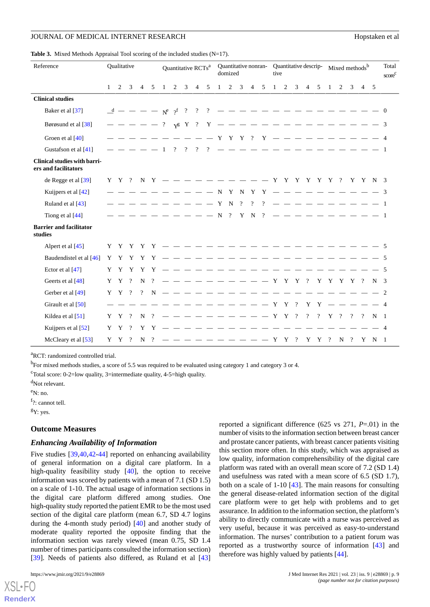<span id="page-8-0"></span>**Table 3.** Mixed Methods Appraisal Tool scoring of the included studies (N=17).

| Reference                                                   | Oualitative |                     |                |                | Quantitative RCTs <sup>a</sup> |                                                                               |               |   | Quantitative nonran-<br>domized |  |                |           |  | Quantitative descrip- Mixed methods <sup>b</sup><br>tive |  |                                               |  |  |  | Total<br>score <sup>c</sup> |  |          |                |                |                |     |
|-------------------------------------------------------------|-------------|---------------------|----------------|----------------|--------------------------------|-------------------------------------------------------------------------------|---------------|---|---------------------------------|--|----------------|-----------|--|----------------------------------------------------------|--|-----------------------------------------------|--|--|--|-----------------------------|--|----------|----------------|----------------|----------------|-----|
|                                                             |             | $1 \quad 2 \quad 3$ |                | $\overline{4}$ | -5                             | $\overline{1}$                                                                | 2             | 3 | $4 \quad 5$                     |  | $\overline{1}$ |           |  |                                                          |  | 2 3 4 5 1 2 3 4 5 1 2 3 4 5                   |  |  |  |                             |  |          |                |                |                |     |
| <b>Clinical studies</b>                                     |             |                     |                |                |                                |                                                                               |               |   |                                 |  |                |           |  |                                                          |  |                                               |  |  |  |                             |  |          |                |                |                |     |
| Baker et al [37]                                            |             |                     |                |                |                                |                                                                               |               |   |                                 |  |                |           |  |                                                          |  |                                               |  |  |  |                             |  |          |                |                |                |     |
| Børøsund et al $\lceil 38 \rceil$                           |             |                     |                |                |                                | $-$ - - - - ? $\gamma$ g Y ? Y - - - - - - - - - - - - - 3                    |               |   |                                 |  |                |           |  |                                                          |  |                                               |  |  |  |                             |  |          |                |                |                |     |
| Groen et al [40]                                            |             |                     |                |                |                                |                                                                               |               |   |                                 |  |                |           |  |                                                          |  | $- - - - - Y Y Y ? Y - - - - - - - - - - - 4$ |  |  |  |                             |  |          |                |                |                |     |
| Gustafson et al [41]                                        |             |                     | $- - - - - 1$  |                |                                |                                                                               | $\frac{1}{2}$ |   |                                 |  |                |           |  |                                                          |  |                                               |  |  |  |                             |  |          |                |                |                |     |
| <b>Clinical studies with barri-</b><br>ers and facilitators |             |                     |                |                |                                |                                                                               |               |   |                                 |  |                |           |  |                                                          |  |                                               |  |  |  |                             |  |          |                |                |                |     |
| de Regge et al $\left[39\right]$                            |             |                     |                |                |                                | $Y$ $Y$ ? N $Y$ - - - - - - - - - - Y $Y$ $Y$ $Y$ $Y$ $Y$ $Y$ $Y$ $Y$ $N$ $3$ |               |   |                                 |  |                |           |  |                                                          |  |                                               |  |  |  |                             |  |          |                |                |                |     |
| Kuijpers et al [42]                                         |             |                     |                |                |                                |                                                                               |               |   |                                 |  |                |           |  |                                                          |  |                                               |  |  |  |                             |  |          |                |                |                |     |
| Ruland et al [43]                                           |             |                     |                |                |                                |                                                                               |               |   |                                 |  |                | $- Y N ?$ |  | $\overline{?}$                                           |  | $?$ - - - - - - - - - 1                       |  |  |  |                             |  |          |                |                |                |     |
| Tiong et al [44]                                            |             |                     |                |                |                                |                                                                               |               |   |                                 |  |                |           |  |                                                          |  | $-$ - N ? Y N ? - - - - - - - - - 1           |  |  |  |                             |  |          |                |                |                |     |
| <b>Barrier and facilitator</b><br>studies                   |             |                     |                |                |                                |                                                                               |               |   |                                 |  |                |           |  |                                                          |  |                                               |  |  |  |                             |  |          |                |                |                |     |
| Alpert et al [45]                                           |             |                     |                |                |                                |                                                                               |               |   |                                 |  |                |           |  |                                                          |  |                                               |  |  |  |                             |  |          |                |                |                |     |
| Baudendistel et al [46]                                     |             |                     |                |                |                                |                                                                               |               |   |                                 |  |                |           |  |                                                          |  |                                               |  |  |  |                             |  |          |                |                |                |     |
| Ector et al $[47]$                                          |             |                     |                |                |                                | $Y Y Y Y Y - - - - - - - - - - - - - -$                                       |               |   |                                 |  |                |           |  |                                                          |  |                                               |  |  |  |                             |  |          |                |                |                | - 5 |
| Geerts et al [48]                                           | Y           | Y                   | $\overline{?}$ | N              | $\gamma$                       |                                                                               |               |   |                                 |  |                |           |  |                                                          |  | $- - - - - - - - - - - Y Y Y ? Y Y Y Y ?$     |  |  |  |                             |  |          |                |                | N <sub>3</sub> |     |
| Gerber et al [49]                                           |             | $Y \ Y$ ?           |                | $\gamma$       |                                | $N - - - - - - - - - - - - -$                                                 |               |   |                                 |  |                |           |  |                                                          |  |                                               |  |  |  |                             |  |          |                |                | $-$ 2          |     |
| Girault et al [50]                                          |             |                     |                |                |                                |                                                                               |               |   |                                 |  |                |           |  |                                                          |  | $-----------Y Y ? Y -$                        |  |  |  |                             |  |          |                |                | $-4$           |     |
| Kildea et al [51]                                           | Y           | Y                   | $\gamma$       | N              | $\gamma$                       |                                                                               |               |   |                                 |  |                |           |  |                                                          |  | $------------Y Y ? ?$                         |  |  |  | $\overline{?}$              |  | $Y \eta$ | $\overline{?}$ | $\overline{?}$ | N <sub>1</sub> |     |
| Kuijpers et al [52]                                         | Y           | Y                   |                | Y              | Y                              | -----------                                                                   |               |   |                                 |  |                |           |  |                                                          |  |                                               |  |  |  |                             |  |          |                |                | $-4$           |     |
| McCleary et al $[53]$                                       |             | Y Y ?               |                |                | $N$ ?                          |                                                                               |               |   |                                 |  |                |           |  |                                                          |  |                                               |  |  |  |                             |  |          |                |                | Y N 1          |     |

<sup>a</sup>RCT: randomized controlled trial.

<sup>b</sup>For mixed methods studies, a score of 5.5 was required to be evaluated using category 1 and category 3 or 4.

 $\text{c}^{\text{c}}$ Total score: 0-2=low quality, 3=intermediate quality, 4-5=high quality.

f<sub>?</sub>: cannot tell.

<sup>g</sup>Y: yes.

# **Outcome Measures**

#### *Enhancing Availability of Information*

Five studies [[39,](#page-15-3)[40](#page-15-8),[42-](#page-15-4)[44](#page-15-2)] reported on enhancing availability of general information on a digital care platform. In a high-quality feasibility study [[40\]](#page-15-8), the option to receive information was scored by patients with a mean of 7.1 (SD 1.5) on a scale of 1-10. The actual usage of information sections in the digital care platform differed among studies. One high-quality study reported the patient EMR to be the most used section of the digital care platform (mean 6.7, SD 4.7 logins during the 4-month study period) [\[40](#page-15-8)] and another study of moderate quality reported the opposite finding that the information section was rarely viewed (mean 0.75, SD 1.4 number of times participants consulted the information section) [[39\]](#page-15-3). Needs of patients also differed, as Ruland et al [\[43](#page-15-10)]

 $XS$ l • FC **[RenderX](http://www.renderx.com/)** reported a significant difference (625 vs 271, *P*=.01) in the number of visits to the information section between breast cancer and prostate cancer patients, with breast cancer patients visiting this section more often. In this study, which was appraised as low quality, information comprehensibility of the digital care platform was rated with an overall mean score of 7.2 (SD 1.4) and usefulness was rated with a mean score of 6.5 (SD 1.7), both on a scale of 1-10 [\[43](#page-15-10)]. The main reasons for consulting the general disease-related information section of the digital care platform were to get help with problems and to get assurance. In addition to the information section, the platform's ability to directly communicate with a nurse was perceived as very useful, because it was perceived as easy-to-understand information. The nurses' contribution to a patient forum was reported as a trustworthy source of information [\[43](#page-15-10)] and therefore was highly valued by patients [[44\]](#page-15-2).

<sup>&</sup>lt;sup>d</sup>Not relevant.

 $e_{N: n_0}$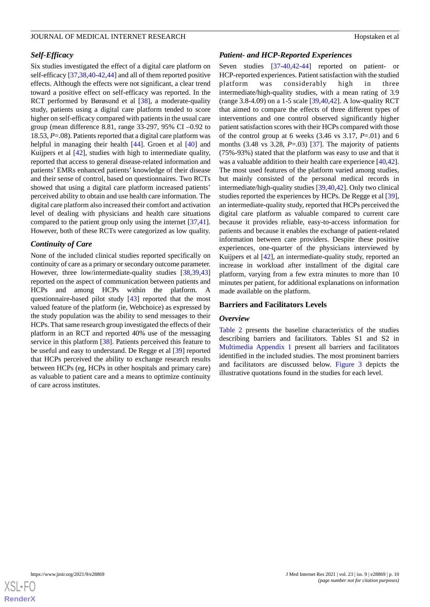# *Self-Efficacy*

Six studies investigated the effect of a digital care platform on self-efficacy [\[37](#page-15-1),[38](#page-15-7)[,40](#page-15-8)-[42,](#page-15-4)[44](#page-15-2)] and all of them reported positive effects. Although the effects were not significant, a clear trend toward a positive effect on self-efficacy was reported. In the RCT performed by Børøsund et al [[38\]](#page-15-7), a moderate-quality study, patients using a digital care platform tended to score higher on self-efficacy compared with patients in the usual care group (mean difference 8.81, range 33-297, 95% CI –0.92 to 18.53, *P*=.08). Patients reported that a digital care platform was helpful in managing their health [[44\]](#page-15-2). Groen et al [[40\]](#page-15-8) and Kuijpers et al [[42\]](#page-15-4), studies with high to intermediate quality, reported that access to general disease-related information and patients' EMRs enhanced patients' knowledge of their disease and their sense of control, based on questionnaires. Two RCTs showed that using a digital care platform increased patients' perceived ability to obtain and use health care information. The digital care platform also increased their comfort and activation level of dealing with physicians and health care situations compared to the patient group only using the internet [\[37](#page-15-1),[41\]](#page-15-9). However, both of these RCTs were categorized as low quality.

# *Continuity of Care*

None of the included clinical studies reported specifically on continuity of care as a primary or secondary outcome parameter. However, three low/intermediate-quality studies [\[38](#page-15-7),[39](#page-15-3)[,43](#page-15-10)] reported on the aspect of communication between patients and HCPs and among HCPs within the platform. A questionnaire-based pilot study [[43\]](#page-15-10) reported that the most valued feature of the platform (ie, Webchoice) as expressed by the study population was the ability to send messages to their HCPs. That same research group investigated the effects of their platform in an RCT and reported 40% use of the messaging service in this platform [[38\]](#page-15-7). Patients perceived this feature to be useful and easy to understand. De Regge et al [\[39](#page-15-3)] reported that HCPs perceived the ability to exchange research results between HCPs (eg, HCPs in other hospitals and primary care) as valuable to patient care and a means to optimize continuity of care across institutes.

# *Patient- and HCP-Reported Experiences*

Seven studies [\[37](#page-15-1)-[40](#page-15-8)[,42](#page-15-4)-[44\]](#page-15-2) reported on patient- or HCP-reported experiences. Patient satisfaction with the studied platform was considerably high in three intermediate/high-quality studies, with a mean rating of 3.9 (range 3.8-4.09) on a 1-5 scale [[39](#page-15-3)[,40](#page-15-8),[42\]](#page-15-4). A low-quality RCT that aimed to compare the effects of three different types of interventions and one control observed significantly higher patient satisfaction scores with their HCPs compared with those of the control group at 6 weeks (3.46 vs 3.17, *P*=.01) and 6 months  $(3.48 \text{ vs } 3.28, P=.03)$  [[37\]](#page-15-1). The majority of patients (75%-93%) stated that the platform was easy to use and that it was a valuable addition to their health care experience [\[40](#page-15-8),[42\]](#page-15-4). The most used features of the platform varied among studies, but mainly consisted of the personal medical records in intermediate/high-quality studies [[39](#page-15-3)[,40](#page-15-8),[42\]](#page-15-4). Only two clinical studies reported the experiences by HCPs. De Regge et al [[39\]](#page-15-3), an intermediate-quality study, reported that HCPs perceived the digital care platform as valuable compared to current care because it provides reliable, easy-to-access information for patients and because it enables the exchange of patient-related information between care providers. Despite these positive experiences, one-quarter of the physicians interviewed by Kuijpers et al [[42\]](#page-15-4), an intermediate-quality study, reported an increase in workload after installment of the digital care platform, varying from a few extra minutes to more than 10 minutes per patient, for additional explanations on information made available on the platform.

#### **Barriers and Facilitators Levels**

## *Overview*

[Table 2](#page-6-0) presents the baseline characteristics of the studies describing barriers and facilitators. Tables S1 and S2 in [Multimedia Appendix 1](#page-13-10) present all barriers and facilitators identified in the included studies. The most prominent barriers and facilitators are discussed below. [Figure 3](#page-10-0) depicts the illustrative quotations found in the studies for each level.

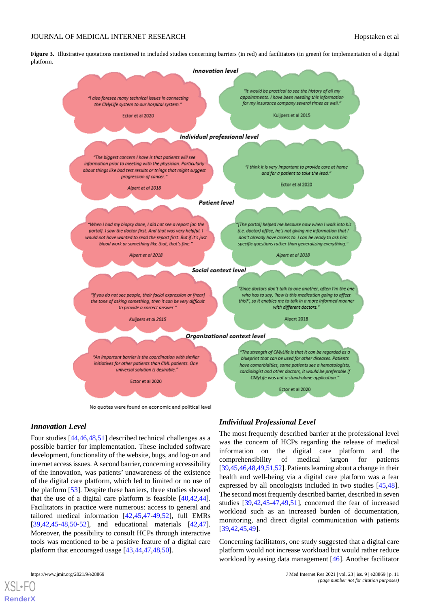<span id="page-10-0"></span>Figure 3. Illustrative quotations mentioned in included studies concerning barriers (in red) and facilitators (in green) for implementation of a digital platform.



No quotes were found on economic and political level

#### *Innovation Level*

Four studies [[44](#page-15-2)[,46](#page-15-11),[48](#page-15-13)[,51](#page-15-16)] described technical challenges as a possible barrier for implementation. These included software development, functionality of the website, bugs, and log-on and internet access issues. A second barrier, concerning accessibility of the innovation, was patients' unawareness of the existence of the digital care platform, which led to limited or no use of the platform [[53\]](#page-15-6). Despite these barriers, three studies showed that the use of a digital care platform is feasible [[40](#page-15-8)[,42](#page-15-4),[44\]](#page-15-2). Facilitators in practice were numerous: access to general and tailored medical information [\[42](#page-15-4),[45](#page-15-5)[,47](#page-15-12)-[49](#page-15-14)[,52](#page-15-17)], full EMRs [[39](#page-15-3)[,42](#page-15-4),[45](#page-15-5)[-48](#page-15-13),[50-](#page-15-15)[52](#page-15-17)], and educational materials [\[42](#page-15-4),[47\]](#page-15-12). Moreover, the possibility to consult HCPs through interactive tools was mentioned to be a positive feature of a digital care platform that encouraged usage [\[43](#page-15-10),[44,](#page-15-2)[47](#page-15-12),[48,](#page-15-13)[50](#page-15-15)].

[XSL](http://www.w3.org/Style/XSL)•FO **[RenderX](http://www.renderx.com/)**

# *Individual Professional Level*

The most frequently described barrier at the professional level was the concern of HCPs regarding the release of medical information on the digital care platform and the comprehensibility of medical jargon for patients [[39](#page-15-3)[,45](#page-15-5),[46](#page-15-11),[48,](#page-15-13)[49](#page-15-14)[,51](#page-15-16),[52](#page-15-17)]. Patients learning about a change in their health and well-being via a digital care platform was a fear expressed by all oncologists included in two studies [\[45](#page-15-5),[48\]](#page-15-13). The second most frequently described barrier, described in seven studies [[39,](#page-15-3)[42](#page-15-4),[45-](#page-15-5)[47](#page-15-12),[49,](#page-15-14)[51](#page-15-16)], concerned the fear of increased workload such as an increased burden of documentation, monitoring, and direct digital communication with patients [[39,](#page-15-3)[42,](#page-15-4)[45](#page-15-5)[,49](#page-15-14)].

Concerning facilitators, one study suggested that a digital care platform would not increase workload but would rather reduce workload by easing data management [\[46](#page-15-11)]. Another facilitator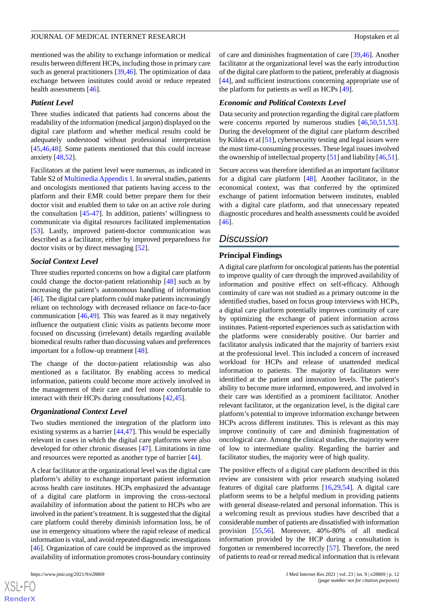mentioned was the ability to exchange information or medical results between different HCPs, including those in primary care such as general practitioners [\[39](#page-15-3),[46\]](#page-15-11). The optimization of data exchange between institutes could avoid or reduce repeated health assessments [[46\]](#page-15-11).

#### *Patient Level*

Three studies indicated that patients had concerns about the readability of the information (medical jargon) displayed on the digital care platform and whether medical results could be adequately understood without professional interpretation [[45](#page-15-5)[,46](#page-15-11),[48\]](#page-15-13). Some patients mentioned that this could increase anxiety [[48](#page-15-13)[,52](#page-15-17)].

Facilitators at the patient level were numerous, as indicated in Table S2 of [Multimedia Appendix 1.](#page-13-10) In several studies, patients and oncologists mentioned that patients having access to the platform and their EMR could better prepare them for their doctor visit and enabled them to take on an active role during the consultation [\[45](#page-15-5)[-47](#page-15-12)]. In addition, patients' willingness to communicate via digital resources facilitated implementation [[53\]](#page-15-6). Lastly, improved patient-doctor communication was described as a facilitator, either by improved preparedness for doctor visits or by direct messaging [[52\]](#page-15-17).

#### *Social Context Level*

Three studies reported concerns on how a digital care platform could change the doctor-patient relationship [\[48](#page-15-13)] such as by increasing the patient's autonomous handling of information [[46\]](#page-15-11). The digital care platform could make patients increasingly reliant on technology with decreased reliance on face-to-face communication [\[46](#page-15-11),[49\]](#page-15-14). This was feared as it may negatively influence the outpatient clinic visits as patients become more focused on discussing (irrelevant) details regarding available biomedical results rather than discussing values and preferences important for a follow-up treatment [\[48](#page-15-13)].

The change of the doctor-patient relationship was also mentioned as a facilitator. By enabling access to medical information, patients could become more actively involved in the management of their care and feel more comfortable to interact with their HCPs during consultations [\[42](#page-15-4),[45\]](#page-15-5).

#### *Organizational Context Level*

Two studies mentioned the integration of the platform into existing systems as a barrier [\[44](#page-15-2),[47\]](#page-15-12). This would be especially relevant in cases in which the digital care platforms were also developed for other chronic diseases [[47\]](#page-15-12). Limitations in time and resources were reported as another type of barrier [[44\]](#page-15-2).

A clear facilitator at the organizational level was the digital care platform's ability to exchange important patient information across health care institutes. HCPs emphasized the advantage of a digital care platform in improving the cross-sectoral availability of information about the patient to HCPs who are involved in the patient's treatment. It is suggested that the digital care platform could thereby diminish information loss, be of use in emergency situations where the rapid release of medical information is vital, and avoid repeated diagnostic investigations [[46\]](#page-15-11). Organization of care could be improved as the improved availability of information promotes cross-boundary continuity

 $XS$  • FC **[RenderX](http://www.renderx.com/)** of care and diminishes fragmentation of care [\[39](#page-15-3),[46\]](#page-15-11). Another facilitator at the organizational level was the early introduction of the digital care platform to the patient, preferably at diagnosis [[44\]](#page-15-2), and sufficient instructions concerning appropriate use of the platform for patients as well as HCPs [[49\]](#page-15-14).

#### *Economic and Political Contexts Level*

Data security and protection regarding the digital care platform were concerns reported by numerous studies [\[46](#page-15-11),[50](#page-15-15)[,51](#page-15-16),[53\]](#page-15-6). During the development of the digital care platform described by Kildea et al [[51\]](#page-15-16), cybersecurity testing and legal issues were the most time-consuming processes. These legal issues involved the ownership of intellectual property [[51\]](#page-15-16) and liability [\[46](#page-15-11),[51\]](#page-15-16).

Secure access was therefore identified as an important facilitator for a digital care platform [[48\]](#page-15-13). Another facilitator, in the economical context, was that conferred by the optimized exchange of patient information between institutes, enabled with a digital care platform, and that unnecessary repeated diagnostic procedures and health assessments could be avoided [[46\]](#page-15-11).

# *Discussion*

# **Principal Findings**

A digital care platform for oncological patients has the potential to improve quality of care through the improved availability of information and positive effect on self-efficacy. Although continuity of care was not studied as a primary outcome in the identified studies, based on focus group interviews with HCPs, a digital care platform potentially improves continuity of care by optimizing the exchange of patient information across institutes. Patient-reported experiences such as satisfaction with the platforms were considerably positive. Our barrier and facilitator analysis indicated that the majority of barriers exist at the professional level. This included a concern of increased workload for HCPs and release of unattended medical information to patients. The majority of facilitators were identified at the patient and innovation levels. The patient's ability to become more informed, empowered, and involved in their care was identified as a prominent facilitator. Another relevant facilitator, at the organization level, is the digital care platform's potential to improve information exchange between HCPs across different institutes. This is relevant as this may improve continuity of care and diminish fragmentation of oncological care. Among the clinical studies, the majority were of low to intermediate quality. Regarding the barrier and facilitator studies, the majority were of high quality.

The positive effects of a digital care platform described in this review are consistent with prior research studying isolated features of digital care platforms [\[16](#page-14-3),[29](#page-14-14)[,54](#page-15-18)]. A digital care platform seems to be a helpful medium in providing patients with general disease-related and personal information. This is a welcoming result as previous studies have described that a considerable number of patients are dissatisfied with information provision [[55,](#page-15-19)[56](#page-16-0)]. Moreover, 40%-80% of all medical information provided by the HCP during a consultation is forgotten or remembered incorrectly [[57\]](#page-16-1). Therefore, the need of patients to read or reread medical information that is relevant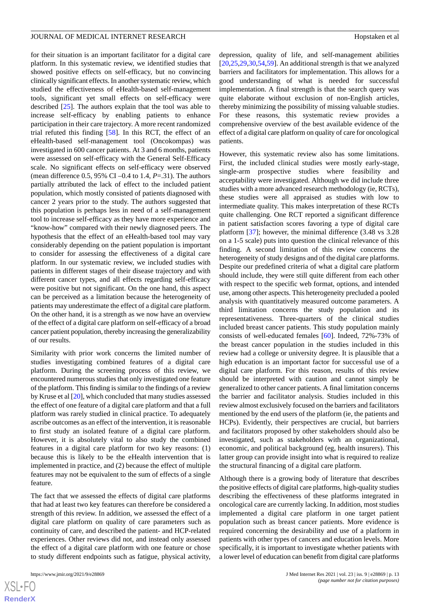for their situation is an important facilitator for a digital care platform. In this systematic review, we identified studies that showed positive effects on self-efficacy, but no convincing clinically significant effects. In another systematic review, which studied the effectiveness of eHealth-based self-management tools, significant yet small effects on self-efficacy were described [[25\]](#page-14-10). The authors explain that the tool was able to increase self-efficacy by enabling patients to enhance participation in their care trajectory. A more recent randomized trial refuted this finding [\[58](#page-16-2)]. In this RCT, the effect of an eHealth-based self-management tool (Oncokompas) was investigated in 600 cancer patients. At 3 and 6 months, patients were assessed on self-efficacy with the General Self-Efficacy scale. No significant effects on self-efficacy were observed (mean difference 0.5, 95% CI –0.4 to 1.4, *P*=.31). The authors partially attributed the lack of effect to the included patient population, which mostly consisted of patients diagnosed with cancer 2 years prior to the study. The authors suggested that this population is perhaps less in need of a self-management tool to increase self-efficacy as they have more experience and "know-how" compared with their newly diagnosed peers. The hypothesis that the effect of an eHealth-based tool may vary considerably depending on the patient population is important to consider for assessing the effectiveness of a digital care platform. In our systematic review, we included studies with patients in different stages of their disease trajectory and with different cancer types, and all effects regarding self-efficacy were positive but not significant. On the one hand, this aspect can be perceived as a limitation because the heterogeneity of patients may underestimate the effect of a digital care platform. On the other hand, it is a strength as we now have an overview of the effect of a digital care platform on self-efficacy of a broad cancer patient population, thereby increasing the generalizability of our results.

Similarity with prior work concerns the limited number of studies investigating combined features of a digital care platform. During the screening process of this review, we encountered numerous studies that only investigated one feature of the platform. This finding is similar to the findings of a review by Kruse et al [[20](#page-14-12)], which concluded that many studies assessed the effect of one feature of a digital care platform and that a full platform was rarely studied in clinical practice. To adequately ascribe outcomes as an effect of the intervention, it is reasonable to first study an isolated feature of a digital care platform. However, it is absolutely vital to also study the combined features in a digital care platform for two key reasons: (1) because this is likely to be the eHealth intervention that is implemented in practice, and (2) because the effect of multiple features may not be equivalent to the sum of effects of a single feature.

The fact that we assessed the effects of digital care platforms that had at least two key features can therefore be considered a strength of this review. In addition, we assessed the effect of a digital care platform on quality of care parameters such as continuity of care, and described the patient- and HCP-related experiences. Other reviews did not, and instead only assessed the effect of a digital care platform with one feature or chose to study different endpoints such as fatigue, physical activity,

 $XSJ \cdot F$ **[RenderX](http://www.renderx.com/)** depression, quality of life, and self-management abilities [[20,](#page-14-12)[25,](#page-14-10)[29](#page-14-14)[,30](#page-14-15),[54,](#page-15-18)[59\]](#page-16-3). An additional strength is that we analyzed barriers and facilitators for implementation. This allows for a good understanding of what is needed for successful implementation. A final strength is that the search query was quite elaborate without exclusion of non-English articles, thereby minimizing the possibility of missing valuable studies. For these reasons, this systematic review provides a comprehensive overview of the best available evidence of the effect of a digital care platform on quality of care for oncological patients.

However, this systematic review also has some limitations. First, the included clinical studies were mostly early-stage, single-arm prospective studies where feasibility and acceptability were investigated. Although we did include three studies with a more advanced research methodology (ie, RCTs), these studies were all appraised as studies with low to intermediate quality. This makes interpretation of these RCTs quite challenging. One RCT reported a significant difference in patient satisfaction scores favoring a type of digital care platform [[37\]](#page-15-1); however, the minimal difference (3.48 vs 3.28 on a 1-5 scale) puts into question the clinical relevance of this finding. A second limitation of this review concerns the heterogeneity of study designs and of the digital care platforms. Despite our predefined criteria of what a digital care platform should include, they were still quite different from each other with respect to the specific web format, options, and intended use, among other aspects. This heterogeneity precluded a pooled analysis with quantitatively measured outcome parameters. A third limitation concerns the study population and its representativeness. Three-quarters of the clinical studies included breast cancer patients. This study population mainly consists of well-educated females [\[60](#page-16-4)]. Indeed, 72%-73% of the breast cancer population in the studies included in this review had a college or university degree. It is plausible that a high education is an important factor for successful use of a digital care platform. For this reason, results of this review should be interpreted with caution and cannot simply be generalized to other cancer patients. A final limitation concerns the barrier and facilitator analysis. Studies included in this review almost exclusively focused on the barriers and facilitators mentioned by the end users of the platform (ie, the patients and HCPs). Evidently, their perspectives are crucial, but barriers and facilitators proposed by other stakeholders should also be investigated, such as stakeholders with an organizational, economic, and political background (eg, health insurers). This latter group can provide insight into what is required to realize the structural financing of a digital care platform.

Although there is a growing body of literature that describes the positive effects of digital care platforms, high-quality studies describing the effectiveness of these platforms integrated in oncological care are currently lacking. In addition, most studies implemented a digital care platform in one target patient population such as breast cancer patients. More evidence is required concerning the desirability and use of a platform in patients with other types of cancers and education levels. More specifically, it is important to investigate whether patients with a lower level of education can benefit from digital care platforms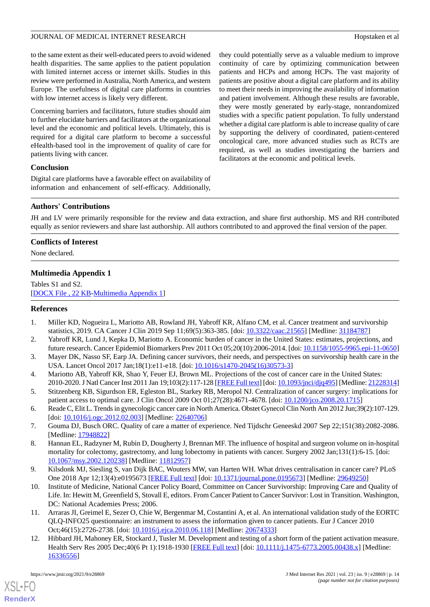to the same extent as their well-educated peers to avoid widened health disparities. The same applies to the patient population with limited internet access or internet skills. Studies in this review were performed in Australia, North America, and western Europe. The usefulness of digital care platforms in countries with low internet access is likely very different.

Concerning barriers and facilitators, future studies should aim to further elucidate barriers and facilitators at the organizational level and the economic and political levels. Ultimately, this is required for a digital care platform to become a successful eHealth-based tool in the improvement of quality of care for patients living with cancer.

they could potentially serve as a valuable medium to improve continuity of care by optimizing communication between patients and HCPs and among HCPs. The vast majority of patients are positive about a digital care platform and its ability to meet their needs in improving the availability of information and patient involvement. Although these results are favorable, they were mostly generated by early-stage, nonrandomized studies with a specific patient population. To fully understand whether a digital care platform is able to increase quality of care by supporting the delivery of coordinated, patient-centered oncological care, more advanced studies such as RCTs are required, as well as studies investigating the barriers and facilitators at the economic and political levels.

# **Conclusion**

Digital care platforms have a favorable effect on availability of information and enhancement of self-efficacy. Additionally,

# **Authors' Contributions**

JH and LV were primarily responsible for the review and data extraction, and share first authorship. MS and RH contributed equally as senior reviewers and share last authorship. All authors contributed to and approved the final version of the paper.

# <span id="page-13-10"></span>**Conflicts of Interest**

None declared.

# **Multimedia Appendix 1**

<span id="page-13-0"></span>Tables S1 and S2. [[DOCX File , 22 KB](https://jmir.org/api/download?alt_name=jmir_v23i9e28869_app1.docx&filename=69e4da5ec254966513e3bd9c6a33378f.docx)-[Multimedia Appendix 1\]](https://jmir.org/api/download?alt_name=jmir_v23i9e28869_app1.docx&filename=69e4da5ec254966513e3bd9c6a33378f.docx)

# <span id="page-13-1"></span>**References**

- <span id="page-13-2"></span>1. Miller KD, Nogueira L, Mariotto AB, Rowland JH, Yabroff KR, Alfano CM, et al. Cancer treatment and survivorship statistics, 2019. CA Cancer J Clin 2019 Sep 11;69(5):363-385. [doi: [10.3322/caac.21565\]](http://dx.doi.org/10.3322/caac.21565) [Medline: [31184787\]](http://www.ncbi.nlm.nih.gov/entrez/query.fcgi?cmd=Retrieve&db=PubMed&list_uids=31184787&dopt=Abstract)
- <span id="page-13-3"></span>2. Yabroff KR, Lund J, Kepka D, Mariotto A. Economic burden of cancer in the United States: estimates, projections, and future research. Cancer Epidemiol Biomarkers Prev 2011 Oct 05;20(10):2006-2014. [doi: [10.1158/1055-9965.epi-11-0650\]](http://dx.doi.org/10.1158/1055-9965.epi-11-0650)
- <span id="page-13-4"></span>3. Mayer DK, Nasso SF, Earp JA. Defining cancer survivors, their needs, and perspectives on survivorship health care in the USA. Lancet Oncol 2017 Jan;18(1):e11-e18. [doi: [10.1016/s1470-2045\(16\)30573-3](http://dx.doi.org/10.1016/s1470-2045(16)30573-3)]
- <span id="page-13-5"></span>4. Mariotto AB, Yabroff KR, Shao Y, Feuer EJ, Brown ML. Projections of the cost of cancer care in the United States: 2010-2020. J Natl Cancer Inst 2011 Jan 19;103(2):117-128 [[FREE Full text](http://europepmc.org/abstract/MED/21228314)] [doi: [10.1093/jnci/djq495](http://dx.doi.org/10.1093/jnci/djq495)] [Medline: [21228314\]](http://www.ncbi.nlm.nih.gov/entrez/query.fcgi?cmd=Retrieve&db=PubMed&list_uids=21228314&dopt=Abstract)
- 5. Stitzenberg KB, Sigurdson ER, Egleston BL, Starkey RB, Meropol NJ. Centralization of cancer surgery: implications for patient access to optimal care. J Clin Oncol 2009 Oct 01;27(28):4671-4678. [doi: [10.1200/jco.2008.20.1715\]](http://dx.doi.org/10.1200/jco.2008.20.1715)
- 6. Reade C, Elit L. Trends in gynecologic cancer care in North America. Obstet Gynecol Clin North Am 2012 Jun;39(2):107-129. [doi: [10.1016/j.ogc.2012.02.003](http://dx.doi.org/10.1016/j.ogc.2012.02.003)] [Medline: [22640706](http://www.ncbi.nlm.nih.gov/entrez/query.fcgi?cmd=Retrieve&db=PubMed&list_uids=22640706&dopt=Abstract)]
- <span id="page-13-6"></span>7. Gouma DJ, Busch ORC. Quality of care a matter of experience. Ned Tijdschr Geneeskd 2007 Sep 22;151(38):2082-2086. [Medline: [17948822](http://www.ncbi.nlm.nih.gov/entrez/query.fcgi?cmd=Retrieve&db=PubMed&list_uids=17948822&dopt=Abstract)]
- <span id="page-13-7"></span>8. Hannan EL, Radzyner M, Rubin D, Dougherty J, Brennan MF. The influence of hospital and surgeon volume on in-hospital mortality for colectomy, gastrectomy, and lung lobectomy in patients with cancer. Surgery 2002 Jan;131(1):6-15. [doi: [10.1067/msy.2002.120238\]](http://dx.doi.org/10.1067/msy.2002.120238) [Medline: [11812957\]](http://www.ncbi.nlm.nih.gov/entrez/query.fcgi?cmd=Retrieve&db=PubMed&list_uids=11812957&dopt=Abstract)
- <span id="page-13-8"></span>9. Kilsdonk MJ, Siesling S, van Dijk BAC, Wouters MW, van Harten WH. What drives centralisation in cancer care? PLoS One 2018 Apr 12;13(4):e0195673 [[FREE Full text](https://dx.plos.org/10.1371/journal.pone.0195673)] [doi: [10.1371/journal.pone.0195673](http://dx.doi.org/10.1371/journal.pone.0195673)] [Medline: [29649250](http://www.ncbi.nlm.nih.gov/entrez/query.fcgi?cmd=Retrieve&db=PubMed&list_uids=29649250&dopt=Abstract)]
- <span id="page-13-9"></span>10. Institute of Medicine, National Cancer Policy Board, Committee on Cancer Survivorship: Improving Care and Quality of Life. In: Hewitt M, Greenfield S, Stovall E, editors. From Cancer Patient to Cancer Survivor: Lost in Transition. Washington, DC: National Academies Press; 2006.
- 11. Arraras JI, Greimel E, Sezer O, Chie W, Bergenmar M, Costantini A, et al. An international validation study of the EORTC QLQ-INFO25 questionnaire: an instrument to assess the information given to cancer patients. Eur J Cancer 2010 Oct;46(15):2726-2738. [doi: [10.1016/j.ejca.2010.06.118](http://dx.doi.org/10.1016/j.ejca.2010.06.118)] [Medline: [20674333\]](http://www.ncbi.nlm.nih.gov/entrez/query.fcgi?cmd=Retrieve&db=PubMed&list_uids=20674333&dopt=Abstract)
- 12. Hibbard JH, Mahoney ER, Stockard J, Tusler M. Development and testing of a short form of the patient activation measure. Health Serv Res 2005 Dec;40(6 Pt 1):1918-1930 [\[FREE Full text\]](http://europepmc.org/abstract/MED/16336556) [doi: [10.1111/j.1475-6773.2005.00438.x](http://dx.doi.org/10.1111/j.1475-6773.2005.00438.x)] [Medline: [16336556](http://www.ncbi.nlm.nih.gov/entrez/query.fcgi?cmd=Retrieve&db=PubMed&list_uids=16336556&dopt=Abstract)]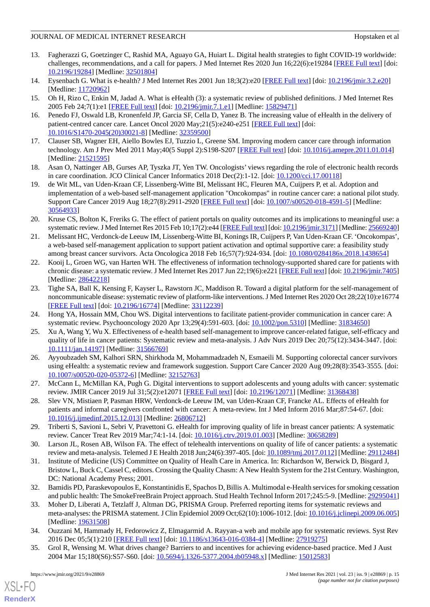- <span id="page-14-0"></span>13. Fagherazzi G, Goetzinger C, Rashid MA, Aguayo GA, Huiart L. Digital health strategies to fight COVID-19 worldwide: challenges, recommendations, and a call for papers. J Med Internet Res 2020 Jun 16;22(6):e19284 [[FREE Full text](https://www.jmir.org/2020/6/e19284/)] [doi: [10.2196/19284\]](http://dx.doi.org/10.2196/19284) [Medline: [32501804\]](http://www.ncbi.nlm.nih.gov/entrez/query.fcgi?cmd=Retrieve&db=PubMed&list_uids=32501804&dopt=Abstract)
- <span id="page-14-2"></span><span id="page-14-1"></span>14. Eysenbach G. What is e-health? J Med Internet Res 2001 Jun 18;3(2):e20 [[FREE Full text](https://www.jmir.org/2001/2/e20/)] [doi: [10.2196/jmir.3.2.e20\]](http://dx.doi.org/10.2196/jmir.3.2.e20) [Medline: [11720962](http://www.ncbi.nlm.nih.gov/entrez/query.fcgi?cmd=Retrieve&db=PubMed&list_uids=11720962&dopt=Abstract)]
- <span id="page-14-3"></span>15. Oh H, Rizo C, Enkin M, Jadad A. What is eHealth (3): a systematic review of published definitions. J Med Internet Res 2005 Feb 24;7(1):e1 [\[FREE Full text](https://www.jmir.org/2005/1/e1/)] [doi: [10.2196/jmir.7.1.e1\]](http://dx.doi.org/10.2196/jmir.7.1.e1) [Medline: [15829471\]](http://www.ncbi.nlm.nih.gov/entrez/query.fcgi?cmd=Retrieve&db=PubMed&list_uids=15829471&dopt=Abstract)
- <span id="page-14-4"></span>16. Penedo FJ, Oswald LB, Kronenfeld JP, Garcia SF, Cella D, Yanez B. The increasing value of eHealth in the delivery of patient-centred cancer care. Lancet Oncol 2020 May;21(5):e240-e251 [[FREE Full text](http://europepmc.org/abstract/MED/32359500)] [doi: [10.1016/S1470-2045\(20\)30021-8\]](http://dx.doi.org/10.1016/S1470-2045(20)30021-8) [Medline: [32359500](http://www.ncbi.nlm.nih.gov/entrez/query.fcgi?cmd=Retrieve&db=PubMed&list_uids=32359500&dopt=Abstract)]
- <span id="page-14-5"></span>17. Clauser SB, Wagner EH, Aiello Bowles EJ, Tuzzio L, Greene SM. Improving modern cancer care through information technology. Am J Prev Med 2011 May;40(5 Suppl 2):S198-S207 [\[FREE Full text\]](http://europepmc.org/abstract/MED/21521595) [doi: [10.1016/j.amepre.2011.01.014](http://dx.doi.org/10.1016/j.amepre.2011.01.014)] [Medline: [21521595](http://www.ncbi.nlm.nih.gov/entrez/query.fcgi?cmd=Retrieve&db=PubMed&list_uids=21521595&dopt=Abstract)]
- 18. Asan O, Nattinger AB, Gurses AP, Tyszka JT, Yen TW. Oncologists' views regarding the role of electronic health records in care coordination. JCO Clinical Cancer Informatics 2018 Dec(2):1-12. [doi: [10.1200/cci.17.00118](http://dx.doi.org/10.1200/cci.17.00118)]
- <span id="page-14-12"></span>19. de Wit ML, van Uden-Kraan CF, Lissenberg-Witte BI, Melissant HC, Fleuren MA, Cuijpers P, et al. Adoption and implementation of a web-based self-management application "Oncokompas" in routine cancer care: a national pilot study. Support Care Cancer 2019 Aug 18;27(8):2911-2920 [[FREE Full text\]](http://europepmc.org/abstract/MED/30564933) [doi: [10.1007/s00520-018-4591-5](http://dx.doi.org/10.1007/s00520-018-4591-5)] [Medline: [30564933](http://www.ncbi.nlm.nih.gov/entrez/query.fcgi?cmd=Retrieve&db=PubMed&list_uids=30564933&dopt=Abstract)]
- <span id="page-14-6"></span>20. Kruse CS, Bolton K, Freriks G. The effect of patient portals on quality outcomes and its implications to meaningful use: a systematic review. J Med Internet Res 2015 Feb 10;17(2):e44 [\[FREE Full text](https://www.jmir.org/2015/2/e44/)] [doi: [10.2196/jmir.3171](http://dx.doi.org/10.2196/jmir.3171)] [Medline: [25669240\]](http://www.ncbi.nlm.nih.gov/entrez/query.fcgi?cmd=Retrieve&db=PubMed&list_uids=25669240&dopt=Abstract)
- <span id="page-14-7"></span>21. Melissant HC, Verdonck-de Leeuw IM, Lissenberg-Witte BI, Konings IR, Cuijpers P, Van Uden-Kraan CF. 'Oncokompas', a web-based self-management application to support patient activation and optimal supportive care: a feasibility study among breast cancer survivors. Acta Oncologica 2018 Feb 16;57(7):924-934. [doi: [10.1080/0284186x.2018.1438654](http://dx.doi.org/10.1080/0284186x.2018.1438654)]
- <span id="page-14-8"></span>22. Kooij L, Groen WG, van Harten WH. The effectiveness of information technology-supported shared care for patients with chronic disease: a systematic review. J Med Internet Res 2017 Jun 22;19(6):e221 [[FREE Full text](https://www.jmir.org/2017/6/e221/)] [doi: [10.2196/jmir.7405](http://dx.doi.org/10.2196/jmir.7405)] [Medline: [28642218](http://www.ncbi.nlm.nih.gov/entrez/query.fcgi?cmd=Retrieve&db=PubMed&list_uids=28642218&dopt=Abstract)]
- <span id="page-14-10"></span><span id="page-14-9"></span>23. Tighe SA, Ball K, Kensing F, Kayser L, Rawstorn JC, Maddison R. Toward a digital platform for the self-management of noncommunicable disease: systematic review of platform-like interventions. J Med Internet Res 2020 Oct 28;22(10):e16774 [[FREE Full text](https://www.jmir.org/2020/10/e16774/)] [doi: [10.2196/16774\]](http://dx.doi.org/10.2196/16774) [Medline: [33112239\]](http://www.ncbi.nlm.nih.gov/entrez/query.fcgi?cmd=Retrieve&db=PubMed&list_uids=33112239&dopt=Abstract)
- 24. Hong YA, Hossain MM, Chou WS. Digital interventions to facilitate patient-provider communication in cancer care: A systematic review. Psychooncology 2020 Apr 13;29(4):591-603. [doi: [10.1002/pon.5310](http://dx.doi.org/10.1002/pon.5310)] [Medline: [31834650\]](http://www.ncbi.nlm.nih.gov/entrez/query.fcgi?cmd=Retrieve&db=PubMed&list_uids=31834650&dopt=Abstract)
- 25. Xu A, Wang Y, Wu X. Effectiveness of e-health based self-management to improve cancer-related fatigue, self-efficacy and quality of life in cancer patients: Systematic review and meta-analysis. J Adv Nurs 2019 Dec 20;75(12):3434-3447. [doi: [10.1111/jan.14197\]](http://dx.doi.org/10.1111/jan.14197) [Medline: [31566769](http://www.ncbi.nlm.nih.gov/entrez/query.fcgi?cmd=Retrieve&db=PubMed&list_uids=31566769&dopt=Abstract)]
- <span id="page-14-13"></span><span id="page-14-11"></span>26. Ayyoubzadeh SM, Kalhori SRN, Shirkhoda M, Mohammadzadeh N, Esmaeili M. Supporting colorectal cancer survivors using eHealth: a systematic review and framework suggestion. Support Care Cancer 2020 Aug 09;28(8):3543-3555. [doi: [10.1007/s00520-020-05372-6\]](http://dx.doi.org/10.1007/s00520-020-05372-6) [Medline: [32152763\]](http://www.ncbi.nlm.nih.gov/entrez/query.fcgi?cmd=Retrieve&db=PubMed&list_uids=32152763&dopt=Abstract)
- <span id="page-14-14"></span>27. McCann L, McMillan KA, Pugh G. Digital interventions to support adolescents and young adults with cancer: systematic review. JMIR Cancer 2019 Jul 31;5(2):e12071 [[FREE Full text](https://cancer.jmir.org/2019/2/e12071/)] [doi: [10.2196/12071\]](http://dx.doi.org/10.2196/12071) [Medline: [31368438\]](http://www.ncbi.nlm.nih.gov/entrez/query.fcgi?cmd=Retrieve&db=PubMed&list_uids=31368438&dopt=Abstract)
- <span id="page-14-15"></span>28. Slev VN, Mistiaen P, Pasman HRW, Verdonck-de Leeuw IM, van Uden-Kraan CF, Francke AL. Effects of eHealth for patients and informal caregivers confronted with cancer: A meta-review. Int J Med Inform 2016 Mar;87:54-67. [doi: [10.1016/j.ijmedinf.2015.12.013\]](http://dx.doi.org/10.1016/j.ijmedinf.2015.12.013) [Medline: [26806712](http://www.ncbi.nlm.nih.gov/entrez/query.fcgi?cmd=Retrieve&db=PubMed&list_uids=26806712&dopt=Abstract)]
- <span id="page-14-16"></span>29. Triberti S, Savioni L, Sebri V, Pravettoni G. eHealth for improving quality of life in breast cancer patients: A systematic review. Cancer Treat Rev 2019 Mar; 74:1-14. [doi: [10.1016/j.ctrv.2019.01.003](http://dx.doi.org/10.1016/j.ctrv.2019.01.003)] [Medline: [30658289](http://www.ncbi.nlm.nih.gov/entrez/query.fcgi?cmd=Retrieve&db=PubMed&list_uids=30658289&dopt=Abstract)]
- <span id="page-14-17"></span>30. Larson JL, Rosen AB, Wilson FA. The effect of telehealth interventions on quality of life of cancer patients: a systematic review and meta-analysis. Telemed J E Health 2018 Jun;24(6):397-405. [doi: [10.1089/tmj.2017.0112](http://dx.doi.org/10.1089/tmj.2017.0112)] [Medline: [29112484\]](http://www.ncbi.nlm.nih.gov/entrez/query.fcgi?cmd=Retrieve&db=PubMed&list_uids=29112484&dopt=Abstract)
- <span id="page-14-18"></span>31. Institute of Medicine (US) Committee on Quality of Healh Care in America. In: Richardson W, Berwick D, Bisgard J, Bristow L, Buck C, Cassel C, editors. Crossing the Quality Chasm: A New Health System for the 21st Century. Washington, DC: National Academy Press; 2001.
- <span id="page-14-20"></span><span id="page-14-19"></span>32. Bamidis PD, Paraskevopoulos E, Konstantinidis E, Spachos D, Billis A. Multimodal e-Health services for smoking cessation and public health: The SmokeFreeBrain Project approach. Stud Health Technol Inform 2017;245:5-9. [Medline: [29295041](http://www.ncbi.nlm.nih.gov/entrez/query.fcgi?cmd=Retrieve&db=PubMed&list_uids=29295041&dopt=Abstract)]
- 33. Moher D, Liberati A, Tetzlaff J, Altman DG, PRISMA Group. Preferred reporting items for systematic reviews and meta-analyses: the PRISMA statement. J Clin Epidemiol 2009 Oct;62(10):1006-1012. [doi: [10.1016/j.jclinepi.2009.06.005\]](http://dx.doi.org/10.1016/j.jclinepi.2009.06.005) [Medline: [19631508](http://www.ncbi.nlm.nih.gov/entrez/query.fcgi?cmd=Retrieve&db=PubMed&list_uids=19631508&dopt=Abstract)]
- 34. Ouzzani M, Hammady H, Fedorowicz Z, Elmagarmid A. Rayyan-a web and mobile app for systematic reviews. Syst Rev 2016 Dec 05;5(1):210 [[FREE Full text](https://systematicreviewsjournal.biomedcentral.com/articles/10.1186/s13643-016-0384-4)] [doi: [10.1186/s13643-016-0384-4](http://dx.doi.org/10.1186/s13643-016-0384-4)] [Medline: [27919275](http://www.ncbi.nlm.nih.gov/entrez/query.fcgi?cmd=Retrieve&db=PubMed&list_uids=27919275&dopt=Abstract)]
- 35. Grol R, Wensing M. What drives change? Barriers to and incentives for achieving evidence-based practice. Med J Aust 2004 Mar 15;180(S6):S57-S60. [doi: [10.5694/j.1326-5377.2004.tb05948.x\]](http://dx.doi.org/10.5694/j.1326-5377.2004.tb05948.x) [Medline: [15012583\]](http://www.ncbi.nlm.nih.gov/entrez/query.fcgi?cmd=Retrieve&db=PubMed&list_uids=15012583&dopt=Abstract)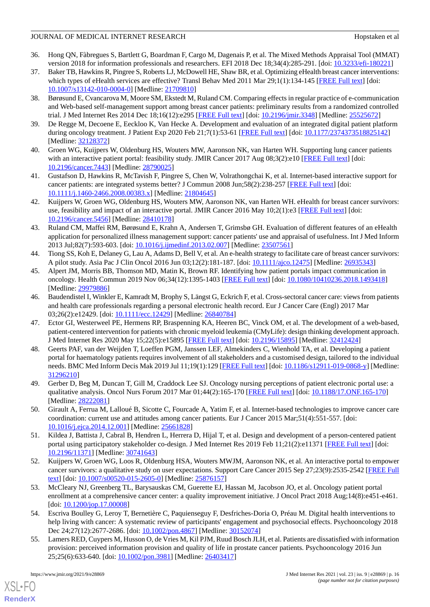- <span id="page-15-0"></span>36. Hong QN, Fàbregues S, Bartlett G, Boardman F, Cargo M, Dagenais P, et al. The Mixed Methods Appraisal Tool (MMAT) version 2018 for information professionals and researchers. EFI 2018 Dec 18;34(4):285-291. [doi: [10.3233/efi-180221](http://dx.doi.org/10.3233/efi-180221)]
- <span id="page-15-1"></span>37. Baker TB, Hawkins R, Pingree S, Roberts LJ, McDowell HE, Shaw BR, et al. Optimizing eHealth breast cancer interventions: which types of eHealth services are effective? Transl Behav Med 2011 Mar 29;1(1):134-145 [[FREE Full text](http://europepmc.org/abstract/MED/21709810)] [doi: [10.1007/s13142-010-0004-0\]](http://dx.doi.org/10.1007/s13142-010-0004-0) [Medline: [21709810](http://www.ncbi.nlm.nih.gov/entrez/query.fcgi?cmd=Retrieve&db=PubMed&list_uids=21709810&dopt=Abstract)]
- <span id="page-15-7"></span>38. Børøsund E, Cvancarova M, Moore SM, Ekstedt M, Ruland CM. Comparing effects in regular practice of e-communication and Web-based self-management support among breast cancer patients: preliminary results from a randomized controlled trial. J Med Internet Res 2014 Dec 18;16(12):e295 [\[FREE Full text\]](https://www.jmir.org/2014/12/e295/) [doi: [10.2196/jmir.3348](http://dx.doi.org/10.2196/jmir.3348)] [Medline: [25525672\]](http://www.ncbi.nlm.nih.gov/entrez/query.fcgi?cmd=Retrieve&db=PubMed&list_uids=25525672&dopt=Abstract)
- <span id="page-15-8"></span><span id="page-15-3"></span>39. De Regge M, Decoene E, Eeckloo K, Van Hecke A. Development and evaluation of an integrated digital patient platform during oncology treatment. J Patient Exp 2020 Feb 21;7(1):53-61 [\[FREE Full text](https://journals.sagepub.com/doi/10.1177/2374373518825142?url_ver=Z39.88-2003&rfr_id=ori:rid:crossref.org&rfr_dat=cr_pub%3dpubmed)] [doi: [10.1177/2374373518825142](http://dx.doi.org/10.1177/2374373518825142)] [Medline: [32128372](http://www.ncbi.nlm.nih.gov/entrez/query.fcgi?cmd=Retrieve&db=PubMed&list_uids=32128372&dopt=Abstract)]
- <span id="page-15-9"></span>40. Groen WG, Kuijpers W, Oldenburg HS, Wouters MW, Aaronson NK, van Harten WH. Supporting lung cancer patients with an interactive patient portal: feasibility study. JMIR Cancer 2017 Aug 08;3(2):e10 [[FREE Full text](https://cancer.jmir.org/2017/2/e10/)] [doi: [10.2196/cancer.7443\]](http://dx.doi.org/10.2196/cancer.7443) [Medline: [28790025\]](http://www.ncbi.nlm.nih.gov/entrez/query.fcgi?cmd=Retrieve&db=PubMed&list_uids=28790025&dopt=Abstract)
- <span id="page-15-4"></span>41. Gustafson D, Hawkins R, McTavish F, Pingree S, Chen W, Volrathongchai K, et al. Internet-based interactive support for cancer patients: are integrated systems better? J Commun 2008 Jun;58(2):238-257 [\[FREE Full text\]](http://europepmc.org/abstract/MED/21804645) [doi: [10.1111/j.1460-2466.2008.00383.x\]](http://dx.doi.org/10.1111/j.1460-2466.2008.00383.x) [Medline: [21804645\]](http://www.ncbi.nlm.nih.gov/entrez/query.fcgi?cmd=Retrieve&db=PubMed&list_uids=21804645&dopt=Abstract)
- <span id="page-15-10"></span>42. Kuijpers W, Groen WG, Oldenburg HS, Wouters MW, Aaronson NK, van Harten WH. eHealth for breast cancer survivors: use, feasibility and impact of an interactive portal. JMIR Cancer 2016 May 10;2(1):e3 [\[FREE Full text\]](https://cancer.jmir.org/2016/1/e3/) [doi: [10.2196/cancer.5456\]](http://dx.doi.org/10.2196/cancer.5456) [Medline: [28410178\]](http://www.ncbi.nlm.nih.gov/entrez/query.fcgi?cmd=Retrieve&db=PubMed&list_uids=28410178&dopt=Abstract)
- <span id="page-15-2"></span>43. Ruland CM, Maffei RM, Børøsund E, Krahn A, Andersen T, Grimsbø GH. Evaluation of different features of an eHealth application for personalized illness management support: cancer patients' use and appraisal of usefulness. Int J Med Inform 2013 Jul;82(7):593-603. [doi: [10.1016/j.ijmedinf.2013.02.007\]](http://dx.doi.org/10.1016/j.ijmedinf.2013.02.007) [Medline: [23507561](http://www.ncbi.nlm.nih.gov/entrez/query.fcgi?cmd=Retrieve&db=PubMed&list_uids=23507561&dopt=Abstract)]
- <span id="page-15-5"></span>44. Tiong SS, Koh E, Delaney G, Lau A, Adams D, Bell V, et al. An e-health strategy to facilitate care of breast cancer survivors: A pilot study. Asia Pac J Clin Oncol 2016 Jun 03;12(2):181-187. [doi: [10.1111/ajco.12475](http://dx.doi.org/10.1111/ajco.12475)] [Medline: [26935343\]](http://www.ncbi.nlm.nih.gov/entrez/query.fcgi?cmd=Retrieve&db=PubMed&list_uids=26935343&dopt=Abstract)
- <span id="page-15-11"></span>45. Alpert JM, Morris BB, Thomson MD, Matin K, Brown RF. Identifying how patient portals impact communication in oncology. Health Commun 2019 Nov 06;34(12):1395-1403 [\[FREE Full text\]](http://europepmc.org/abstract/MED/29979886) [doi: [10.1080/10410236.2018.1493418](http://dx.doi.org/10.1080/10410236.2018.1493418)] [Medline: [29979886](http://www.ncbi.nlm.nih.gov/entrez/query.fcgi?cmd=Retrieve&db=PubMed&list_uids=29979886&dopt=Abstract)]
- <span id="page-15-12"></span>46. Baudendistel I, Winkler E, Kamradt M, Brophy S, Längst G, Eckrich F, et al. Cross-sectoral cancer care: views from patients and health care professionals regarding a personal electronic health record. Eur J Cancer Care (Engl) 2017 Mar 03;26(2):e12429. [doi: [10.1111/ecc.12429\]](http://dx.doi.org/10.1111/ecc.12429) [Medline: [26840784](http://www.ncbi.nlm.nih.gov/entrez/query.fcgi?cmd=Retrieve&db=PubMed&list_uids=26840784&dopt=Abstract)]
- <span id="page-15-13"></span>47. Ector GI, Westerweel PE, Hermens RP, Braspenning KA, Heeren BC, Vinck OM, et al. The development of a web-based, patient-centered intervention for patients with chronic myeloid leukemia (CMyLife): design thinking development approach. J Med Internet Res 2020 May 15;22(5):e15895 [[FREE Full text](https://www.jmir.org/2020/5/e15895/)] [doi: [10.2196/15895\]](http://dx.doi.org/10.2196/15895) [Medline: [32412424](http://www.ncbi.nlm.nih.gov/entrez/query.fcgi?cmd=Retrieve&db=PubMed&list_uids=32412424&dopt=Abstract)]
- <span id="page-15-14"></span>48. Geerts PAF, van der Weijden T, Loeffen PGM, Janssen LEF, Almekinders C, Wienhold TA, et al. Developing a patient portal for haematology patients requires involvement of all stakeholders and a customised design, tailored to the individual needs. BMC Med Inform Decis Mak 2019 Jul 11;19(1):129 [[FREE Full text](https://bmcmedinformdecismak.biomedcentral.com/articles/10.1186/s12911-019-0868-y)] [doi: [10.1186/s12911-019-0868-y\]](http://dx.doi.org/10.1186/s12911-019-0868-y) [Medline: [31296210](http://www.ncbi.nlm.nih.gov/entrez/query.fcgi?cmd=Retrieve&db=PubMed&list_uids=31296210&dopt=Abstract)]
- <span id="page-15-16"></span><span id="page-15-15"></span>49. Gerber D, Beg M, Duncan T, Gill M, Craddock Lee SJ. Oncology nursing perceptions of patient electronic portal use: a qualitative analysis. Oncol Nurs Forum 2017 Mar 01;44(2):165-170 [[FREE Full text](http://europepmc.org/abstract/MED/28222081)] [doi: [10.1188/17.ONF.165-170](http://dx.doi.org/10.1188/17.ONF.165-170)] [Medline: [28222081](http://www.ncbi.nlm.nih.gov/entrez/query.fcgi?cmd=Retrieve&db=PubMed&list_uids=28222081&dopt=Abstract)]
- <span id="page-15-17"></span>50. Girault A, Ferrua M, Lalloué B, Sicotte C, Fourcade A, Yatim F, et al. Internet-based technologies to improve cancer care coordination: current use and attitudes among cancer patients. Eur J Cancer 2015 Mar;51(4):551-557. [doi: [10.1016/j.ejca.2014.12.001\]](http://dx.doi.org/10.1016/j.ejca.2014.12.001) [Medline: [25661828\]](http://www.ncbi.nlm.nih.gov/entrez/query.fcgi?cmd=Retrieve&db=PubMed&list_uids=25661828&dopt=Abstract)
- <span id="page-15-6"></span>51. Kildea J, Battista J, Cabral B, Hendren L, Herrera D, Hijal T, et al. Design and development of a person-centered patient portal using participatory stakeholder co-design. J Med Internet Res 2019 Feb 11;21(2):e11371 [\[FREE Full text\]](https://www.jmir.org/2019/2/e11371/) [doi: [10.2196/11371\]](http://dx.doi.org/10.2196/11371) [Medline: [30741643\]](http://www.ncbi.nlm.nih.gov/entrez/query.fcgi?cmd=Retrieve&db=PubMed&list_uids=30741643&dopt=Abstract)
- <span id="page-15-18"></span>52. Kuijpers W, Groen WG, Loos R, Oldenburg HSA, Wouters MWJM, Aaronson NK, et al. An interactive portal to empower cancer survivors: a qualitative study on user expectations. Support Care Cancer 2015 Sep 27;23(9):2535-2542 [[FREE Full](http://europepmc.org/abstract/MED/25876157) [text](http://europepmc.org/abstract/MED/25876157)] [doi: [10.1007/s00520-015-2605-0\]](http://dx.doi.org/10.1007/s00520-015-2605-0) [Medline: [25876157](http://www.ncbi.nlm.nih.gov/entrez/query.fcgi?cmd=Retrieve&db=PubMed&list_uids=25876157&dopt=Abstract)]
- <span id="page-15-19"></span>53. McCleary NJ, Greenberg TL, Barysauskas CM, Guerette EJ, Hassan M, Jacobson JO, et al. Oncology patient portal enrollment at a comprehensive cancer center: a quality improvement initiative. J Oncol Pract 2018 Aug;14(8):e451-e461. [doi: [10.1200/jop.17.00008\]](http://dx.doi.org/10.1200/jop.17.00008)
- 54. Escriva Boulley G, Leroy T, Bernetière C, Paquienseguy F, Desfriches-Doria O, Préau M. Digital health interventions to help living with cancer: A systematic review of participants' engagement and psychosocial effects. Psychooncology 2018 Dec 24;27(12):2677-2686. [doi: [10.1002/pon.4867\]](http://dx.doi.org/10.1002/pon.4867) [Medline: [30152074\]](http://www.ncbi.nlm.nih.gov/entrez/query.fcgi?cmd=Retrieve&db=PubMed&list_uids=30152074&dopt=Abstract)
- 55. Lamers RED, Cuypers M, Husson O, de Vries M, Kil PJM, Ruud Bosch JLH, et al. Patients are dissatisfied with information provision: perceived information provision and quality of life in prostate cancer patients. Psychooncology 2016 Jun 25;25(6):633-640. [doi: [10.1002/pon.3981](http://dx.doi.org/10.1002/pon.3981)] [Medline: [26403417](http://www.ncbi.nlm.nih.gov/entrez/query.fcgi?cmd=Retrieve&db=PubMed&list_uids=26403417&dopt=Abstract)]